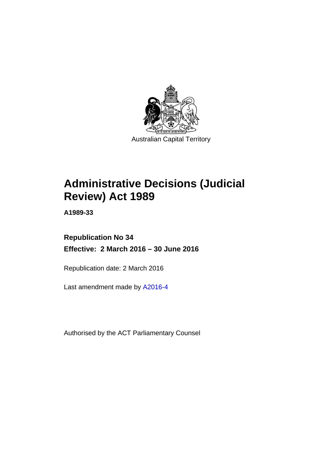

# **Administrative Decisions (Judicial Review) Act 1989**

**A1989-33** 

## **Republication No 34 Effective: 2 March 2016 – 30 June 2016**

Republication date: 2 March 2016

Last amendment made by [A2016-4](http://www.legislation.act.gov.au/a/2016-4)

Authorised by the ACT Parliamentary Counsel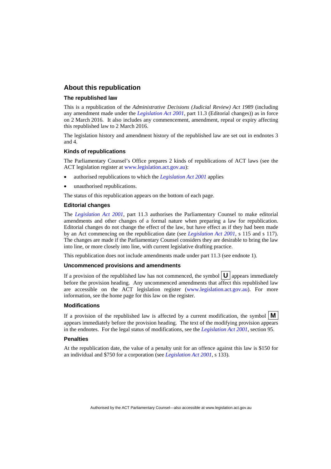### **About this republication**

#### **The republished law**

This is a republication of the *Administrative Decisions (Judicial Review) Act 1989* (including any amendment made under the *[Legislation Act 2001](http://www.legislation.act.gov.au/a/2001-14)*, part 11.3 (Editorial changes)) as in force on 2 March 2016*.* It also includes any commencement, amendment, repeal or expiry affecting this republished law to 2 March 2016.

The legislation history and amendment history of the republished law are set out in endnotes 3 and 4.

#### **Kinds of republications**

The Parliamentary Counsel's Office prepares 2 kinds of republications of ACT laws (see the ACT legislation register at [www.legislation.act.gov.au](http://www.legislation.act.gov.au/)):

- authorised republications to which the *[Legislation Act 2001](http://www.legislation.act.gov.au/a/2001-14)* applies
- unauthorised republications.

The status of this republication appears on the bottom of each page.

#### **Editorial changes**

The *[Legislation Act 2001](http://www.legislation.act.gov.au/a/2001-14)*, part 11.3 authorises the Parliamentary Counsel to make editorial amendments and other changes of a formal nature when preparing a law for republication. Editorial changes do not change the effect of the law, but have effect as if they had been made by an Act commencing on the republication date (see *[Legislation Act 2001](http://www.legislation.act.gov.au/a/2001-14)*, s 115 and s 117). The changes are made if the Parliamentary Counsel considers they are desirable to bring the law into line, or more closely into line, with current legislative drafting practice.

This republication does not include amendments made under part 11.3 (see endnote 1).

#### **Uncommenced provisions and amendments**

If a provision of the republished law has not commenced, the symbol  $\mathbf{U}$  appears immediately before the provision heading. Any uncommenced amendments that affect this republished law are accessible on the ACT legislation register [\(www.legislation.act.gov.au\)](http://www.legislation.act.gov.au/). For more information, see the home page for this law on the register.

#### **Modifications**

If a provision of the republished law is affected by a current modification, the symbol  $\mathbf{M}$ appears immediately before the provision heading. The text of the modifying provision appears in the endnotes. For the legal status of modifications, see the *[Legislation Act 2001](http://www.legislation.act.gov.au/a/2001-14)*, section 95.

#### **Penalties**

At the republication date, the value of a penalty unit for an offence against this law is \$150 for an individual and \$750 for a corporation (see *[Legislation Act 2001](http://www.legislation.act.gov.au/a/2001-14)*, s 133).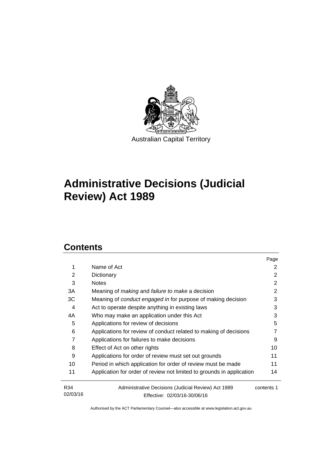

# **Administrative Decisions (Judicial Review) Act 1989**

## **Contents**

|                 |                                                                                     | Page       |
|-----------------|-------------------------------------------------------------------------------------|------------|
| 1               | Name of Act                                                                         | 2          |
| 2               | Dictionary                                                                          | 2          |
| 3               | <b>Notes</b>                                                                        | 2          |
| 3A              | Meaning of <i>making</i> and <i>failure to make</i> a decision                      | 2          |
| ЗC              | Meaning of <i>conduct engaged in</i> for purpose of making decision                 | 3          |
| 4               | Act to operate despite anything in existing laws                                    | 3          |
| 4A              | Who may make an application under this Act                                          | 3          |
| 5               | Applications for review of decisions                                                | 5          |
| 6               | Applications for review of conduct related to making of decisions                   |            |
| 7               | Applications for failures to make decisions                                         | 9          |
| 8               | Effect of Act on other rights                                                       | 10         |
| 9               | Applications for order of review must set out grounds                               | 11         |
| 10              | Period in which application for order of review must be made                        | 11         |
| 11              | Application for order of review not limited to grounds in application               | 14         |
| R34<br>02/03/16 | Administrative Decisions (Judicial Review) Act 1989<br>Effective: 02/03/16-30/06/16 | contents 1 |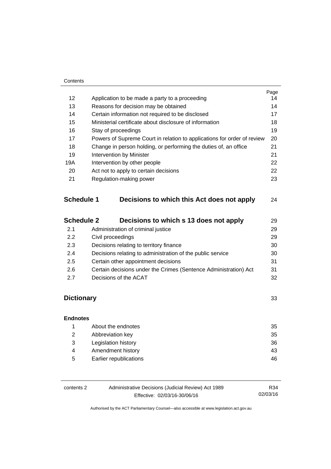#### **Contents**

|                   |                                                                         | Page |
|-------------------|-------------------------------------------------------------------------|------|
| 12                | Application to be made a party to a proceeding                          | 14   |
| 13                | Reasons for decision may be obtained                                    | 14   |
| 14                | Certain information not required to be disclosed                        | 17   |
| 15                | Ministerial certificate about disclosure of information                 | 18   |
| 16                | Stay of proceedings                                                     | 19   |
| 17                | Powers of Supreme Court in relation to applications for order of review | 20   |
| 18                | Change in person holding, or performing the duties of, an office        | 21   |
| 19                | Intervention by Minister                                                | 21   |
| 19A               | Intervention by other people                                            |      |
| 20                | Act not to apply to certain decisions                                   | 22   |
| 21                | Regulation-making power                                                 | 23   |
| <b>Schedule 1</b> | Decisions to which this Act does not apply                              | 24   |
| <b>Schedule 2</b> | Decisions to which s 13 does not apply                                  | 29   |
| 2.1               | Administration of criminal justice                                      | 29   |

| $\sim$ | Authinistration of chimital justice                              | ້  |
|--------|------------------------------------------------------------------|----|
| 2.2    | Civil proceedings                                                | 29 |
| 2.3    | Decisions relating to territory finance                          | 30 |
| 2.4    | Decisions relating to administration of the public service       | 30 |
| 2.5    | Certain other appointment decisions                              | 31 |
| 2.6    | Certain decisions under the Crimes (Sentence Administration) Act | 31 |
| 2.7    | Decisions of the ACAT                                            | 32 |
|        |                                                                  |    |

## **[Dictionary](#page-36-0)** [33](#page-36-0)

## **[Endnotes](#page-38-0)** 1 [About the endnotes 35](#page-38-1) 2 [Abbreviation key 35](#page-38-2) 3 [Legislation history 36](#page-39-0) 4 Amendment history **43** 5 [Earlier republications 46](#page-49-0)

| contents 2 | Administrative Decisions (Judicial Review) Act 1989 | R34.     |
|------------|-----------------------------------------------------|----------|
|            | Effective: 02/03/16-30/06/16                        | 02/03/16 |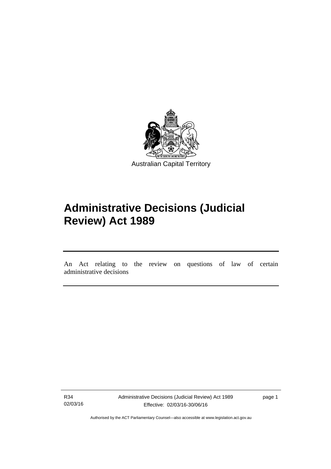

# **Administrative Decisions (Judicial Review) Act 1989**

An Act relating to the review on questions of law of certain administrative decisions

R34 02/03/16

l

Administrative Decisions (Judicial Review) Act 1989 Effective: 02/03/16-30/06/16

page 1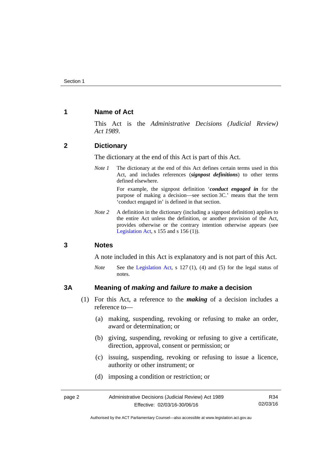## <span id="page-5-0"></span>**1 Name of Act**

This Act is the *Administrative Decisions (Judicial Review) Act 1989*.

## <span id="page-5-1"></span>**2 Dictionary**

The dictionary at the end of this Act is part of this Act.

*Note 1* The dictionary at the end of this Act defines certain terms used in this Act, and includes references (*signpost definitions*) to other terms defined elsewhere.

> For example, the signpost definition '*conduct engaged in* for the purpose of making a decision—see section 3C.' means that the term 'conduct engaged in' is defined in that section.

*Note 2* A definition in the dictionary (including a signpost definition) applies to the entire Act unless the definition, or another provision of the Act, provides otherwise or the contrary intention otherwise appears (see [Legislation Act,](http://www.legislation.act.gov.au/a/2001-14) s  $155$  and s  $156$  (1)).

### <span id="page-5-2"></span>**3 Notes**

A note included in this Act is explanatory and is not part of this Act.

*Note* See the [Legislation Act,](http://www.legislation.act.gov.au/a/2001-14) s 127 (1), (4) and (5) for the legal status of notes.

### <span id="page-5-3"></span>**3A Meaning of** *making* **and** *failure to make* **a decision**

- (1) For this Act, a reference to the *making* of a decision includes a reference to—
	- (a) making, suspending, revoking or refusing to make an order, award or determination; or
	- (b) giving, suspending, revoking or refusing to give a certificate, direction, approval, consent or permission; or
	- (c) issuing, suspending, revoking or refusing to issue a licence, authority or other instrument; or
	- (d) imposing a condition or restriction; or

| page 2 | Administrative Decisions (Judicial Review) Act 1989 | R34      |
|--------|-----------------------------------------------------|----------|
|        | Effective: 02/03/16-30/06/16                        | 02/03/16 |

Authorised by the ACT Parliamentary Counsel—also accessible at www.legislation.act.gov.au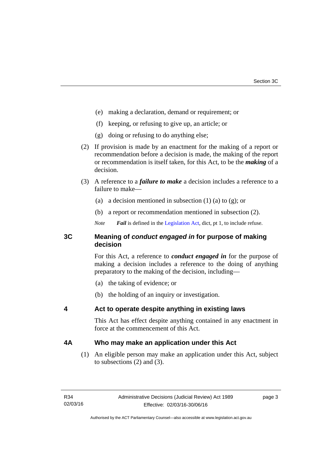- (e) making a declaration, demand or requirement; or
- (f) keeping, or refusing to give up, an article; or
- (g) doing or refusing to do anything else;
- (2) If provision is made by an enactment for the making of a report or recommendation before a decision is made, the making of the report or recommendation is itself taken, for this Act, to be the *making* of a decision.
- (3) A reference to a *failure to make* a decision includes a reference to a failure to make—
	- (a) a decision mentioned in subsection  $(1)$  (a) to  $(g)$ ; or
	- (b) a report or recommendation mentioned in subsection (2).
	- *Note Fail* is defined in the [Legislation Act](http://www.legislation.act.gov.au/a/2001-14), dict, pt 1, to include refuse.

## <span id="page-6-0"></span>**3C Meaning of** *conduct engaged in* **for purpose of making decision**

For this Act, a reference to *conduct engaged in* for the purpose of making a decision includes a reference to the doing of anything preparatory to the making of the decision, including—

- (a) the taking of evidence; or
- (b) the holding of an inquiry or investigation.

## <span id="page-6-1"></span>**4 Act to operate despite anything in existing laws**

This Act has effect despite anything contained in any enactment in force at the commencement of this Act.

## <span id="page-6-2"></span>**4A Who may make an application under this Act**

(1) An eligible person may make an application under this Act, subject to subsections (2) and (3).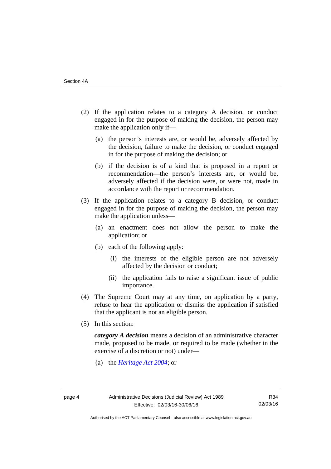- (2) If the application relates to a category A decision, or conduct engaged in for the purpose of making the decision, the person may make the application only if—
	- (a) the person's interests are, or would be, adversely affected by the decision, failure to make the decision, or conduct engaged in for the purpose of making the decision; or
	- (b) if the decision is of a kind that is proposed in a report or recommendation—the person's interests are, or would be, adversely affected if the decision were, or were not, made in accordance with the report or recommendation.
- (3) If the application relates to a category B decision, or conduct engaged in for the purpose of making the decision, the person may make the application unless—
	- (a) an enactment does not allow the person to make the application; or
	- (b) each of the following apply:
		- (i) the interests of the eligible person are not adversely affected by the decision or conduct;
		- (ii) the application fails to raise a significant issue of public importance.
- (4) The Supreme Court may at any time, on application by a party, refuse to hear the application or dismiss the application if satisfied that the applicant is not an eligible person.
- (5) In this section:

*category A decision* means a decision of an administrative character made, proposed to be made, or required to be made (whether in the exercise of a discretion or not) under—

(a) the *[Heritage Act 2004](http://www.legislation.act.gov.au/a/2004-57/default.asp)*; or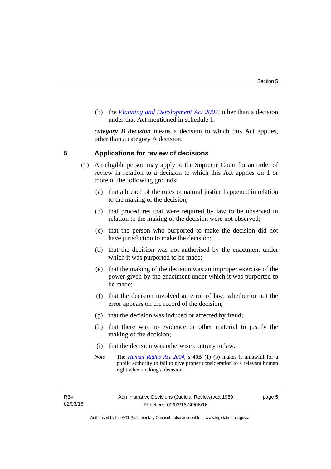(b) the *[Planning and Development Act 2007](http://www.legislation.act.gov.au/a/2007-24/default.asp)*, other than a decision under that Act mentioned in schedule 1.

*category B decision* means a decision to which this Act applies, other than a category A decision.

### <span id="page-8-0"></span>**5 Applications for review of decisions**

- (1) An eligible person may apply to the Supreme Court for an order of review in relation to a decision to which this Act applies on 1 or more of the following grounds:
	- (a) that a breach of the rules of natural justice happened in relation to the making of the decision;
	- (b) that procedures that were required by law to be observed in relation to the making of the decision were not observed;
	- (c) that the person who purported to make the decision did not have jurisdiction to make the decision;
	- (d) that the decision was not authorised by the enactment under which it was purported to be made;
	- (e) that the making of the decision was an improper exercise of the power given by the enactment under which it was purported to be made;
	- (f) that the decision involved an error of law, whether or not the error appears on the record of the decision;
	- (g) that the decision was induced or affected by fraud;
	- (h) that there was no evidence or other material to justify the making of the decision;
	- (i) that the decision was otherwise contrary to law.
	- *Note* The *[Human Rights Act 2004](http://www.legislation.act.gov.au/a/2004-5)*, s 40B (1) (b) makes it unlawful for a public authority to fail to give proper consideration to a relevant human right when making a decision.

R34 02/03/16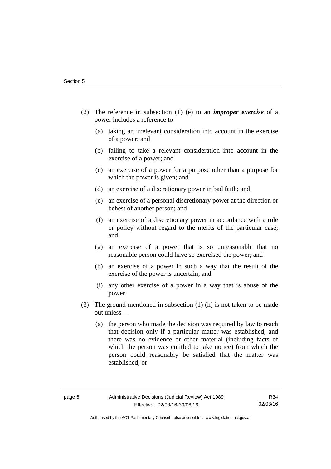- (2) The reference in subsection (1) (e) to an *improper exercise* of a power includes a reference to—
	- (a) taking an irrelevant consideration into account in the exercise of a power; and
	- (b) failing to take a relevant consideration into account in the exercise of a power; and
	- (c) an exercise of a power for a purpose other than a purpose for which the power is given; and
	- (d) an exercise of a discretionary power in bad faith; and
	- (e) an exercise of a personal discretionary power at the direction or behest of another person; and
	- (f) an exercise of a discretionary power in accordance with a rule or policy without regard to the merits of the particular case; and
	- (g) an exercise of a power that is so unreasonable that no reasonable person could have so exercised the power; and
	- (h) an exercise of a power in such a way that the result of the exercise of the power is uncertain; and
	- (i) any other exercise of a power in a way that is abuse of the power.
- (3) The ground mentioned in subsection (1) (h) is not taken to be made out unless—
	- (a) the person who made the decision was required by law to reach that decision only if a particular matter was established, and there was no evidence or other material (including facts of which the person was entitled to take notice) from which the person could reasonably be satisfied that the matter was established; or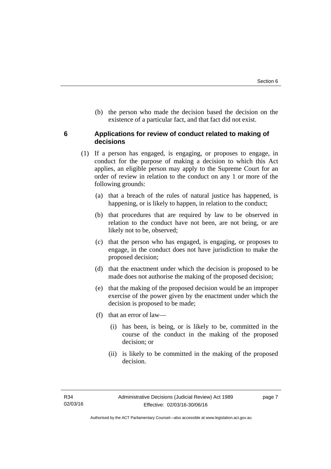(b) the person who made the decision based the decision on the existence of a particular fact, and that fact did not exist.

## <span id="page-10-0"></span>**6 Applications for review of conduct related to making of decisions**

- (1) If a person has engaged, is engaging, or proposes to engage, in conduct for the purpose of making a decision to which this Act applies, an eligible person may apply to the Supreme Court for an order of review in relation to the conduct on any 1 or more of the following grounds:
	- (a) that a breach of the rules of natural justice has happened, is happening, or is likely to happen, in relation to the conduct;
	- (b) that procedures that are required by law to be observed in relation to the conduct have not been, are not being, or are likely not to be, observed;
	- (c) that the person who has engaged, is engaging, or proposes to engage, in the conduct does not have jurisdiction to make the proposed decision;
	- (d) that the enactment under which the decision is proposed to be made does not authorise the making of the proposed decision;
	- (e) that the making of the proposed decision would be an improper exercise of the power given by the enactment under which the decision is proposed to be made;
	- (f) that an error of law—
		- (i) has been, is being, or is likely to be, committed in the course of the conduct in the making of the proposed decision; or
		- (ii) is likely to be committed in the making of the proposed decision.

page 7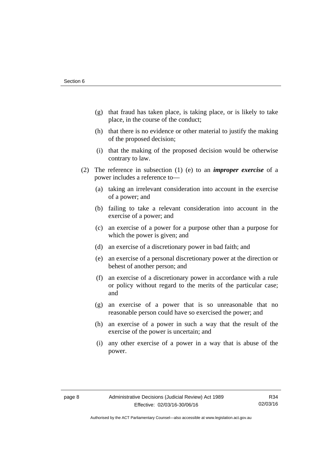- (g) that fraud has taken place, is taking place, or is likely to take place, in the course of the conduct;
- (h) that there is no evidence or other material to justify the making of the proposed decision;
- (i) that the making of the proposed decision would be otherwise contrary to law.
- (2) The reference in subsection (1) (e) to an *improper exercise* of a power includes a reference to—
	- (a) taking an irrelevant consideration into account in the exercise of a power; and
	- (b) failing to take a relevant consideration into account in the exercise of a power; and
	- (c) an exercise of a power for a purpose other than a purpose for which the power is given; and
	- (d) an exercise of a discretionary power in bad faith; and
	- (e) an exercise of a personal discretionary power at the direction or behest of another person; and
	- (f) an exercise of a discretionary power in accordance with a rule or policy without regard to the merits of the particular case; and
	- (g) an exercise of a power that is so unreasonable that no reasonable person could have so exercised the power; and
	- (h) an exercise of a power in such a way that the result of the exercise of the power is uncertain; and
	- (i) any other exercise of a power in a way that is abuse of the power.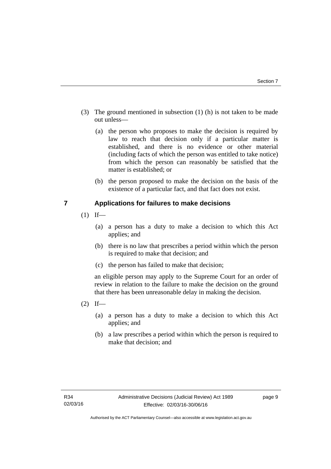- (3) The ground mentioned in subsection (1) (h) is not taken to be made out unless—
	- (a) the person who proposes to make the decision is required by law to reach that decision only if a particular matter is established, and there is no evidence or other material (including facts of which the person was entitled to take notice) from which the person can reasonably be satisfied that the matter is established; or
	- (b) the person proposed to make the decision on the basis of the existence of a particular fact, and that fact does not exist.

## <span id="page-12-0"></span>**7 Applications for failures to make decisions**

- $(1)$  If—
	- (a) a person has a duty to make a decision to which this Act applies; and
	- (b) there is no law that prescribes a period within which the person is required to make that decision; and
	- (c) the person has failed to make that decision;

an eligible person may apply to the Supreme Court for an order of review in relation to the failure to make the decision on the ground that there has been unreasonable delay in making the decision.

- $(2)$  If—
	- (a) a person has a duty to make a decision to which this Act applies; and
	- (b) a law prescribes a period within which the person is required to make that decision; and

page 9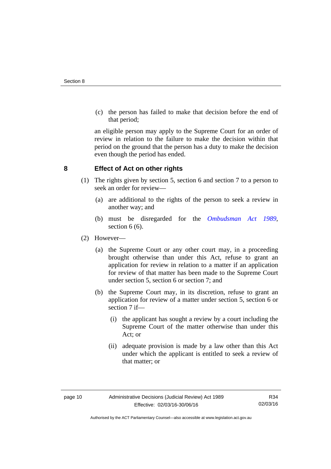(c) the person has failed to make that decision before the end of that period;

an eligible person may apply to the Supreme Court for an order of review in relation to the failure to make the decision within that period on the ground that the person has a duty to make the decision even though the period has ended.

## <span id="page-13-0"></span>**8 Effect of Act on other rights**

- (1) The rights given by section 5, section 6 and section 7 to a person to seek an order for review—
	- (a) are additional to the rights of the person to seek a review in another way; and
	- (b) must be disregarded for the *[Ombudsman Act 1989](http://www.legislation.act.gov.au/a/alt_a1989-45co)*, section 6 (6).
- (2) However—
	- (a) the Supreme Court or any other court may, in a proceeding brought otherwise than under this Act, refuse to grant an application for review in relation to a matter if an application for review of that matter has been made to the Supreme Court under section 5, section 6 or section 7; and
	- (b) the Supreme Court may, in its discretion, refuse to grant an application for review of a matter under section 5, section 6 or section 7 if—
		- (i) the applicant has sought a review by a court including the Supreme Court of the matter otherwise than under this Act; or
		- (ii) adequate provision is made by a law other than this Act under which the applicant is entitled to seek a review of that matter; or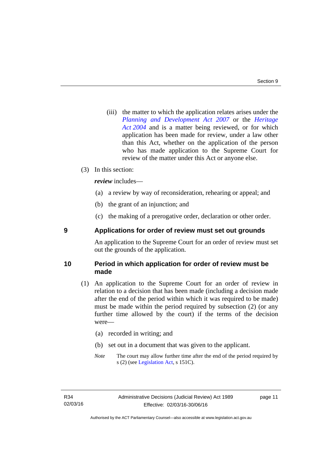(iii) the matter to which the application relates arises under the *[Planning and Development Act 2007](http://www.legislation.act.gov.au/a/2007-24)* or the *[Heritage](http://www.legislation.act.gov.au/a/2004-57)  [Act 2004](http://www.legislation.act.gov.au/a/2004-57)* and is a matter being reviewed, or for which application has been made for review, under a law other than this Act, whether on the application of the person who has made application to the Supreme Court for review of the matter under this Act or anyone else.

### (3) In this section:

*review* includes—

- (a) a review by way of reconsideration, rehearing or appeal; and
- (b) the grant of an injunction; and
- (c) the making of a prerogative order, declaration or other order.

## <span id="page-14-0"></span>**9 Applications for order of review must set out grounds**

An application to the Supreme Court for an order of review must set out the grounds of the application.

### <span id="page-14-1"></span>**10 Period in which application for order of review must be made**

- (1) An application to the Supreme Court for an order of review in relation to a decision that has been made (including a decision made after the end of the period within which it was required to be made) must be made within the period required by subsection (2) (or any further time allowed by the court) if the terms of the decision were—
	- (a) recorded in writing; and
	- (b) set out in a document that was given to the applicant.
	- *Note* The court may allow further time after the end of the period required by s (2) (see [Legislation Act](http://www.legislation.act.gov.au/a/2001-14), s 151C).

page 11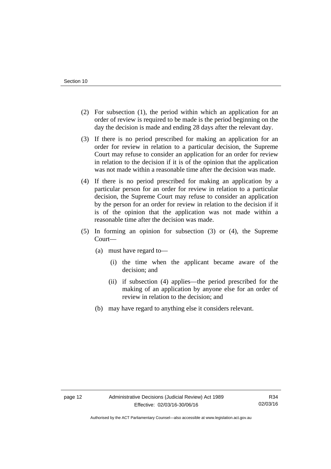- (2) For subsection (1), the period within which an application for an order of review is required to be made is the period beginning on the day the decision is made and ending 28 days after the relevant day.
- (3) If there is no period prescribed for making an application for an order for review in relation to a particular decision, the Supreme Court may refuse to consider an application for an order for review in relation to the decision if it is of the opinion that the application was not made within a reasonable time after the decision was made.
- (4) If there is no period prescribed for making an application by a particular person for an order for review in relation to a particular decision, the Supreme Court may refuse to consider an application by the person for an order for review in relation to the decision if it is of the opinion that the application was not made within a reasonable time after the decision was made.
- (5) In forming an opinion for subsection (3) or (4), the Supreme Court—
	- (a) must have regard to—
		- (i) the time when the applicant became aware of the decision; and
		- (ii) if subsection (4) applies—the period prescribed for the making of an application by anyone else for an order of review in relation to the decision; and
	- (b) may have regard to anything else it considers relevant.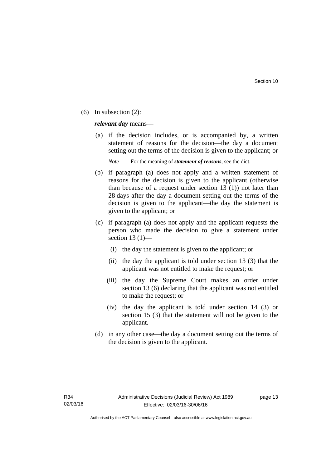(6) In subsection (2):

*relevant day* means—

 (a) if the decision includes, or is accompanied by, a written statement of reasons for the decision—the day a document setting out the terms of the decision is given to the applicant; or

*Note* For the meaning of *statement of reasons*, see the dict.

- (b) if paragraph (a) does not apply and a written statement of reasons for the decision is given to the applicant (otherwise than because of a request under section 13 (1)) not later than 28 days after the day a document setting out the terms of the decision is given to the applicant—the day the statement is given to the applicant; or
- (c) if paragraph (a) does not apply and the applicant requests the person who made the decision to give a statement under section 13 $(1)$ —
	- (i) the day the statement is given to the applicant; or
	- (ii) the day the applicant is told under section 13 (3) that the applicant was not entitled to make the request; or
	- (iii) the day the Supreme Court makes an order under section 13 (6) declaring that the applicant was not entitled to make the request; or
	- (iv) the day the applicant is told under section 14 (3) or section 15 (3) that the statement will not be given to the applicant.
- (d) in any other case—the day a document setting out the terms of the decision is given to the applicant.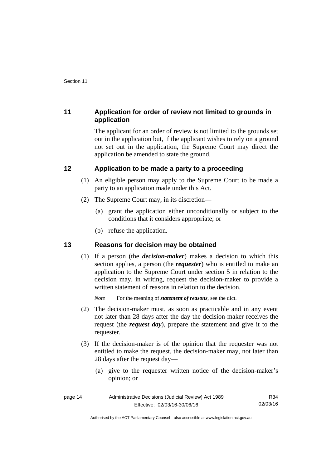## <span id="page-17-0"></span>**11 Application for order of review not limited to grounds in application**

The applicant for an order of review is not limited to the grounds set out in the application but, if the applicant wishes to rely on a ground not set out in the application, the Supreme Court may direct the application be amended to state the ground.

## <span id="page-17-1"></span>**12 Application to be made a party to a proceeding**

- (1) An eligible person may apply to the Supreme Court to be made a party to an application made under this Act.
- (2) The Supreme Court may, in its discretion—
	- (a) grant the application either unconditionally or subject to the conditions that it considers appropriate; or
	- (b) refuse the application.

## <span id="page-17-2"></span>**13 Reasons for decision may be obtained**

(1) If a person (the *decision-maker*) makes a decision to which this section applies, a person (the *requester*) who is entitled to make an application to the Supreme Court under section 5 in relation to the decision may, in writing, request the decision-maker to provide a written statement of reasons in relation to the decision.

*Note* For the meaning of *statement of reasons*, see the dict.

- (2) The decision-maker must, as soon as practicable and in any event not later than 28 days after the day the decision-maker receives the request (the *request day*), prepare the statement and give it to the requester.
- (3) If the decision-maker is of the opinion that the requester was not entitled to make the request, the decision-maker may, not later than 28 days after the request day—
	- (a) give to the requester written notice of the decision-maker's opinion; or

| page 14 | Administrative Decisions (Judicial Review) Act 1989 | R34      |
|---------|-----------------------------------------------------|----------|
|         | Effective: 02/03/16-30/06/16                        | 02/03/16 |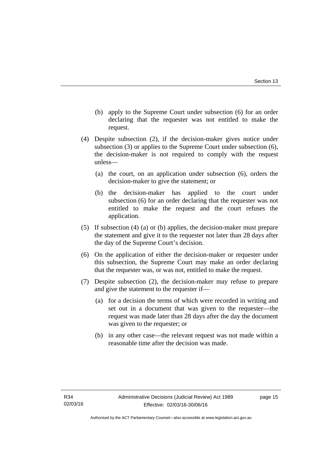- (b) apply to the Supreme Court under subsection (6) for an order declaring that the requester was not entitled to make the request.
- (4) Despite subsection (2), if the decision-maker gives notice under subsection (3) or applies to the Supreme Court under subsection (6), the decision-maker is not required to comply with the request unless—
	- (a) the court, on an application under subsection (6), orders the decision-maker to give the statement; or
	- (b) the decision-maker has applied to the court under subsection (6) for an order declaring that the requester was not entitled to make the request and the court refuses the application.
- (5) If subsection (4) (a) or (b) applies, the decision-maker must prepare the statement and give it to the requester not later than 28 days after the day of the Supreme Court's decision.
- (6) On the application of either the decision-maker or requester under this subsection, the Supreme Court may make an order declaring that the requester was, or was not, entitled to make the request.
- (7) Despite subsection (2), the decision-maker may refuse to prepare and give the statement to the requester if—
	- (a) for a decision the terms of which were recorded in writing and set out in a document that was given to the requester—the request was made later than 28 days after the day the document was given to the requester; or
	- (b) in any other case—the relevant request was not made within a reasonable time after the decision was made.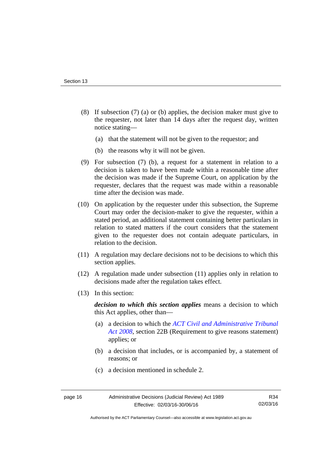- (8) If subsection (7) (a) or (b) applies, the decision maker must give to the requester, not later than 14 days after the request day, written notice stating—
	- (a) that the statement will not be given to the requestor; and
	- (b) the reasons why it will not be given.
- (9) For subsection (7) (b), a request for a statement in relation to a decision is taken to have been made within a reasonable time after the decision was made if the Supreme Court, on application by the requester, declares that the request was made within a reasonable time after the decision was made.
- (10) On application by the requester under this subsection, the Supreme Court may order the decision-maker to give the requester, within a stated period, an additional statement containing better particulars in relation to stated matters if the court considers that the statement given to the requester does not contain adequate particulars, in relation to the decision.
- (11) A regulation may declare decisions not to be decisions to which this section applies.
- (12) A regulation made under subsection (11) applies only in relation to decisions made after the regulation takes effect.
- (13) In this section:

*decision to which this section applies* means a decision to which this Act applies, other than—

- (a) a decision to which the *[ACT Civil and Administrative Tribunal](http://www.legislation.act.gov.au/a/2008-35)  [Act 2008](http://www.legislation.act.gov.au/a/2008-35)*, section 22B (Requirement to give reasons statement) applies; or
- (b) a decision that includes, or is accompanied by, a statement of reasons; or
- (c) a decision mentioned in schedule 2.

Authorised by the ACT Parliamentary Counsel—also accessible at www.legislation.act.gov.au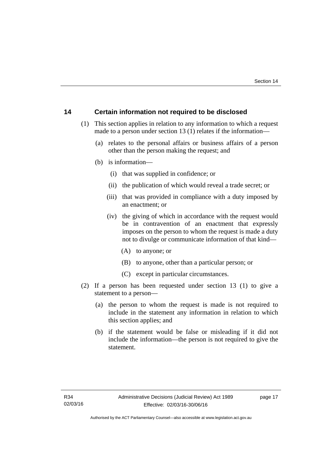## <span id="page-20-0"></span>**14 Certain information not required to be disclosed**

- (1) This section applies in relation to any information to which a request made to a person under section 13 (1) relates if the information—
	- (a) relates to the personal affairs or business affairs of a person other than the person making the request; and
	- (b) is information—
		- (i) that was supplied in confidence; or
		- (ii) the publication of which would reveal a trade secret; or
		- (iii) that was provided in compliance with a duty imposed by an enactment; or
		- (iv) the giving of which in accordance with the request would be in contravention of an enactment that expressly imposes on the person to whom the request is made a duty not to divulge or communicate information of that kind—
			- (A) to anyone; or
			- (B) to anyone, other than a particular person; or
			- (C) except in particular circumstances.
- (2) If a person has been requested under section 13 (1) to give a statement to a person—
	- (a) the person to whom the request is made is not required to include in the statement any information in relation to which this section applies; and
	- (b) if the statement would be false or misleading if it did not include the information—the person is not required to give the statement.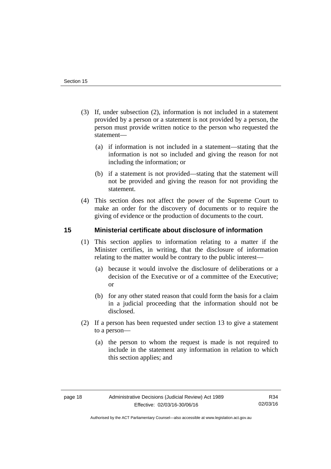- (3) If, under subsection (2), information is not included in a statement provided by a person or a statement is not provided by a person, the person must provide written notice to the person who requested the statement—
	- (a) if information is not included in a statement—stating that the information is not so included and giving the reason for not including the information; or
	- (b) if a statement is not provided—stating that the statement will not be provided and giving the reason for not providing the statement.
- (4) This section does not affect the power of the Supreme Court to make an order for the discovery of documents or to require the giving of evidence or the production of documents to the court.

## <span id="page-21-0"></span>**15 Ministerial certificate about disclosure of information**

- (1) This section applies to information relating to a matter if the Minister certifies, in writing, that the disclosure of information relating to the matter would be contrary to the public interest—
	- (a) because it would involve the disclosure of deliberations or a decision of the Executive or of a committee of the Executive; or
	- (b) for any other stated reason that could form the basis for a claim in a judicial proceeding that the information should not be disclosed.
- (2) If a person has been requested under section 13 to give a statement to a person—
	- (a) the person to whom the request is made is not required to include in the statement any information in relation to which this section applies; and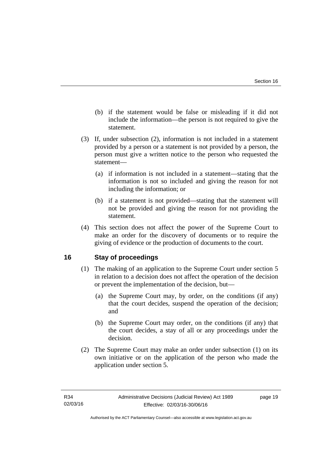- (b) if the statement would be false or misleading if it did not include the information—the person is not required to give the statement.
- (3) If, under subsection (2), information is not included in a statement provided by a person or a statement is not provided by a person, the person must give a written notice to the person who requested the statement—
	- (a) if information is not included in a statement—stating that the information is not so included and giving the reason for not including the information; or
	- (b) if a statement is not provided—stating that the statement will not be provided and giving the reason for not providing the statement.
- (4) This section does not affect the power of the Supreme Court to make an order for the discovery of documents or to require the giving of evidence or the production of documents to the court.

## <span id="page-22-0"></span>**16 Stay of proceedings**

- (1) The making of an application to the Supreme Court under section 5 in relation to a decision does not affect the operation of the decision or prevent the implementation of the decision, but—
	- (a) the Supreme Court may, by order, on the conditions (if any) that the court decides, suspend the operation of the decision; and
	- (b) the Supreme Court may order, on the conditions (if any) that the court decides, a stay of all or any proceedings under the decision.
- (2) The Supreme Court may make an order under subsection (1) on its own initiative or on the application of the person who made the application under section 5.

page 19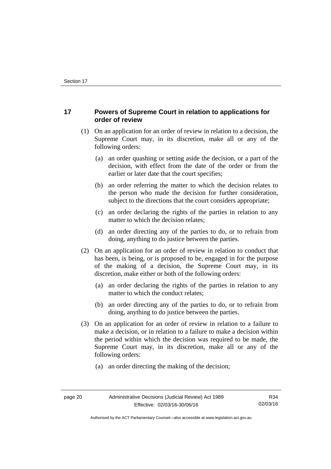## <span id="page-23-0"></span>**17 Powers of Supreme Court in relation to applications for order of review**

- (1) On an application for an order of review in relation to a decision, the Supreme Court may, in its discretion, make all or any of the following orders:
	- (a) an order quashing or setting aside the decision, or a part of the decision, with effect from the date of the order or from the earlier or later date that the court specifies;
	- (b) an order referring the matter to which the decision relates to the person who made the decision for further consideration, subject to the directions that the court considers appropriate;
	- (c) an order declaring the rights of the parties in relation to any matter to which the decision relates;
	- (d) an order directing any of the parties to do, or to refrain from doing, anything to do justice between the parties.
- (2) On an application for an order of review in relation to conduct that has been, is being, or is proposed to be, engaged in for the purpose of the making of a decision, the Supreme Court may, in its discretion, make either or both of the following orders:
	- (a) an order declaring the rights of the parties in relation to any matter to which the conduct relates;
	- (b) an order directing any of the parties to do, or to refrain from doing, anything to do justice between the parties.
- (3) On an application for an order of review in relation to a failure to make a decision, or in relation to a failure to make a decision within the period within which the decision was required to be made, the Supreme Court may, in its discretion, make all or any of the following orders:
	- (a) an order directing the making of the decision;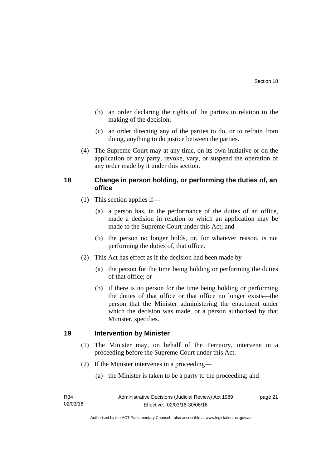- (b) an order declaring the rights of the parties in relation to the making of the decision;
- (c) an order directing any of the parties to do, or to refrain from doing, anything to do justice between the parties.
- (4) The Supreme Court may at any time, on its own initiative or on the application of any party, revoke, vary, or suspend the operation of any order made by it under this section.

## <span id="page-24-0"></span>**18 Change in person holding, or performing the duties of, an office**

- (1) This section applies if—
	- (a) a person has, in the performance of the duties of an office, made a decision in relation to which an application may be made to the Supreme Court under this Act; and
	- (b) the person no longer holds, or, for whatever reason, is not performing the duties of, that office.
- (2) This Act has effect as if the decision had been made by—
	- (a) the person for the time being holding or performing the duties of that office; or
	- (b) if there is no person for the time being holding or performing the duties of that office or that office no longer exists—the person that the Minister administering the enactment under which the decision was made, or a person authorised by that Minister, specifies.

## <span id="page-24-1"></span>**19 Intervention by Minister**

- (1) The Minister may, on behalf of the Territory, intervene in a proceeding before the Supreme Court under this Act.
- (2) If the Minister intervenes in a proceeding—
	- (a) the Minister is taken to be a party to the proceeding; and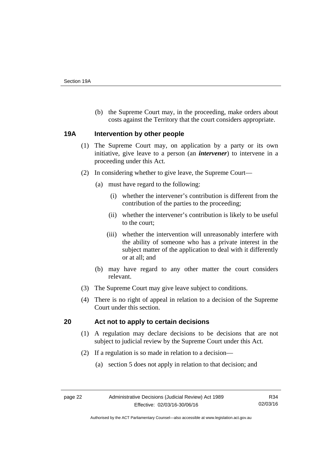(b) the Supreme Court may, in the proceeding, make orders about costs against the Territory that the court considers appropriate.

### <span id="page-25-0"></span>**19A Intervention by other people**

- (1) The Supreme Court may, on application by a party or its own initiative, give leave to a person (an *intervener*) to intervene in a proceeding under this Act.
- (2) In considering whether to give leave, the Supreme Court—
	- (a) must have regard to the following:
		- (i) whether the intervener's contribution is different from the contribution of the parties to the proceeding;
		- (ii) whether the intervener's contribution is likely to be useful to the court;
		- (iii) whether the intervention will unreasonably interfere with the ability of someone who has a private interest in the subject matter of the application to deal with it differently or at all; and
	- (b) may have regard to any other matter the court considers relevant.
- (3) The Supreme Court may give leave subject to conditions.
- (4) There is no right of appeal in relation to a decision of the Supreme Court under this section.

## <span id="page-25-1"></span>**20 Act not to apply to certain decisions**

- (1) A regulation may declare decisions to be decisions that are not subject to judicial review by the Supreme Court under this Act.
- (2) If a regulation is so made in relation to a decision—
	- (a) section 5 does not apply in relation to that decision; and

Authorised by the ACT Parliamentary Counsel—also accessible at www.legislation.act.gov.au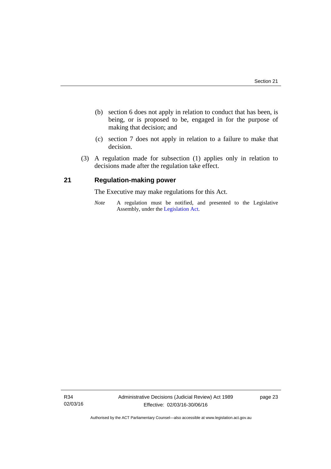- (b) section 6 does not apply in relation to conduct that has been, is being, or is proposed to be, engaged in for the purpose of making that decision; and
- (c) section 7 does not apply in relation to a failure to make that decision.
- (3) A regulation made for subsection (1) applies only in relation to decisions made after the regulation take effect.

## <span id="page-26-0"></span>**21 Regulation-making power**

The Executive may make regulations for this Act.

*Note* A regulation must be notified, and presented to the Legislative Assembly, under the [Legislation Act](http://www.legislation.act.gov.au/a/2001-14).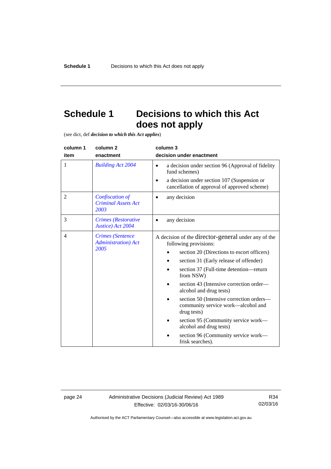## <span id="page-27-0"></span>**Schedule 1 Decisions to which this Act does not apply**

(see dict, def *decision to which this Act applies*)

| column 1<br>item | column <sub>2</sub><br>enactment                               | column 3<br>decision under enactment                                                                                                                                                                                                                                                                                                                                                               |  |
|------------------|----------------------------------------------------------------|----------------------------------------------------------------------------------------------------------------------------------------------------------------------------------------------------------------------------------------------------------------------------------------------------------------------------------------------------------------------------------------------------|--|
| 1                | <b>Building Act 2004</b>                                       | a decision under section 96 (Approval of fidelity<br>$\bullet$<br>fund schemes)                                                                                                                                                                                                                                                                                                                    |  |
|                  |                                                                | a decision under section 107 (Suspension or<br>cancellation of approval of approved scheme)                                                                                                                                                                                                                                                                                                        |  |
| $\overline{2}$   | Confiscation of<br><b>Criminal Assets Act</b><br>2003          | any decision                                                                                                                                                                                                                                                                                                                                                                                       |  |
| 3                | <b>Crimes</b> (Restorative<br>Justice) Act 2004                | any decision                                                                                                                                                                                                                                                                                                                                                                                       |  |
| $\overline{4}$   | <b>Crimes</b> (Sentence<br><b>Administration</b> ) Act<br>2005 | A decision of the director-general under any of the<br>following provisions:<br>section 20 (Directions to escort officers)<br>section 31 (Early release of offender)<br>section 37 (Full-time detention-return<br>from NSW)<br>section 43 (Intensive correction order—<br>alcohol and drug tests)<br>section 50 (Intensive correction orders-<br>community service work—alcohol and<br>drug tests) |  |
|                  |                                                                | section 95 (Community service work—<br>alcohol and drug tests)                                                                                                                                                                                                                                                                                                                                     |  |
|                  |                                                                | section 96 (Community service work-<br>frisk searches).                                                                                                                                                                                                                                                                                                                                            |  |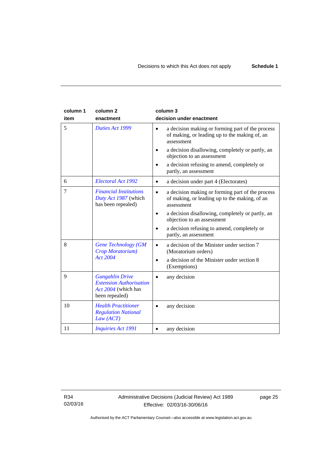| column 1<br>item | column <sub>2</sub><br>enactment                                                                  | column 3<br>decision under enactment                                                                                         |
|------------------|---------------------------------------------------------------------------------------------------|------------------------------------------------------------------------------------------------------------------------------|
| 5                | Duties Act 1999                                                                                   | a decision making or forming part of the process<br>$\bullet$<br>of making, or leading up to the making of, an<br>assessment |
|                  |                                                                                                   | a decision disallowing, completely or partly, an<br>objection to an assessment                                               |
|                  |                                                                                                   | a decision refusing to amend, completely or<br>partly, an assessment                                                         |
| 6                | Electoral Act 1992                                                                                | a decision under part 4 (Electorates)<br>$\bullet$                                                                           |
| 7                | <b>Financial Institutions</b><br>Duty Act 1987 (which<br>has been repealed)                       | a decision making or forming part of the process<br>$\bullet$<br>of making, or leading up to the making, of an<br>assessment |
|                  |                                                                                                   | a decision disallowing, completely or partly, an<br>$\bullet$<br>objection to an assessment                                  |
|                  |                                                                                                   | a decision refusing to amend, completely or<br>partly, an assessment                                                         |
| 8                | <b>Gene Technology (GM</b><br>Crop Moratorium)                                                    | a decision of the Minister under section 7<br>(Moratorium orders)                                                            |
|                  | Act 2004                                                                                          | a decision of the Minister under section 8<br>(Exemptions)                                                                   |
| 9                | <b>Gungahlin Drive</b><br><b>Extension Authorisation</b><br>Act 2004 (which has<br>been repealed) | any decision                                                                                                                 |
| 10               | <b>Health Practitioner</b><br><b>Regulation National</b><br>Law (ACT)                             | any decision                                                                                                                 |
| 11               | <b>Inquiries Act 1991</b>                                                                         | any decision                                                                                                                 |

R34 02/03/16 page 25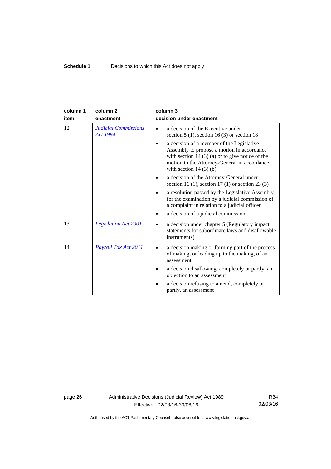| column 1 | column <sub>2</sub>                            | column 3                                                                                                                                                                                                               |
|----------|------------------------------------------------|------------------------------------------------------------------------------------------------------------------------------------------------------------------------------------------------------------------------|
| item     | enactment                                      | decision under enactment                                                                                                                                                                                               |
| 12       | <b>Judicial Commissions</b><br><b>Act 1994</b> | a decision of the Executive under<br>section $5(1)$ , section $16(3)$ or section 18                                                                                                                                    |
|          |                                                | a decision of a member of the Legislative<br>Assembly to propose a motion in accordance<br>with section $14(3)(a)$ or to give notice of the<br>motion to the Attorney-General in accordance<br>with section $14(3)(b)$ |
|          |                                                | a decision of the Attorney-General under<br>section 16 (1), section 17 (1) or section 23 (3)                                                                                                                           |
|          |                                                | a resolution passed by the Legislative Assembly<br>for the examination by a judicial commission of<br>a complaint in relation to a judicial officer                                                                    |
|          |                                                | a decision of a judicial commission                                                                                                                                                                                    |
| 13       | <b>Legislation Act 2001</b>                    | a decision under chapter 5 (Regulatory impact)<br>$\bullet$<br>statements for subordinate laws and disallowable<br>instruments)                                                                                        |
| 14       | Payroll Tax Act 2011                           | a decision making or forming part of the process<br>of making, or leading up to the making, of an<br>assessment                                                                                                        |
|          |                                                | a decision disallowing, completely or partly, an<br>objection to an assessment                                                                                                                                         |
|          |                                                | a decision refusing to amend, completely or<br>partly, an assessment                                                                                                                                                   |

page 26 Administrative Decisions (Judicial Review) Act 1989 Effective: 02/03/16-30/06/16

R34 02/03/16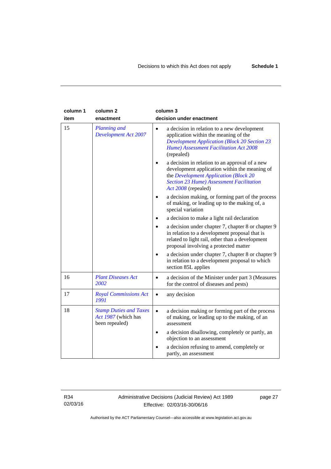| column 1<br>item | column <sub>2</sub><br>enactment                                       | column 3<br>decision under enactment                                                                                                                                                                               |
|------------------|------------------------------------------------------------------------|--------------------------------------------------------------------------------------------------------------------------------------------------------------------------------------------------------------------|
| 15               | <b>Planning and</b><br><b>Development Act 2007</b>                     | a decision in relation to a new development<br>$\bullet$<br>application within the meaning of the<br><b>Development Application (Block 20 Section 23</b><br>Hume) Assessment Facilitation Act 2008<br>(repealed)   |
|                  |                                                                        | a decision in relation to an approval of a new<br>development application within the meaning of<br>the Development Application (Block 20<br><b>Section 23 Hume) Assessment Facilitation</b><br>Act 2008 (repealed) |
|                  |                                                                        | a decision making, or forming part of the process<br>of making, or leading up to the making of, a<br>special variation                                                                                             |
|                  |                                                                        | a decision to make a light rail declaration                                                                                                                                                                        |
|                  |                                                                        | a decision under chapter 7, chapter 8 or chapter 9<br>in relation to a development proposal that is<br>related to light rail, other than a development<br>proposal involving a protected matter                    |
|                  |                                                                        | a decision under chapter 7, chapter 8 or chapter 9<br>in relation to a development proposal to which<br>section 85L applies                                                                                        |
| 16               | <b>Plant Diseases Act</b><br>2002                                      | a decision of the Minister under part 3 (Measures<br>$\bullet$<br>for the control of diseases and pests)                                                                                                           |
| 17               | <b>Royal Commissions Act</b><br>1991                                   | any decision<br>$\bullet$                                                                                                                                                                                          |
| 18               | <b>Stamp Duties and Taxes</b><br>Act 1987 (which has<br>been repealed) | a decision making or forming part of the process<br>$\bullet$<br>of making, or leading up to the making, of an<br>assessment                                                                                       |
|                  |                                                                        | a decision disallowing, completely or partly, an<br>$\bullet$<br>objection to an assessment                                                                                                                        |
|                  |                                                                        | a decision refusing to amend, completely or<br>partly, an assessment                                                                                                                                               |

R34 02/03/16 Administrative Decisions (Judicial Review) Act 1989 Effective: 02/03/16-30/06/16

page 27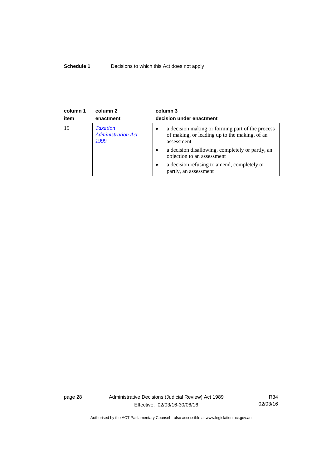### **Schedule 1** Decisions to which this Act does not apply

| column 1<br>item | column 2<br>enactment                                | column 3<br>decision under enactment                                                                                         |
|------------------|------------------------------------------------------|------------------------------------------------------------------------------------------------------------------------------|
| 19               | <b>Taxation</b><br><b>Administration Act</b><br>1999 | a decision making or forming part of the process<br>$\bullet$<br>of making, or leading up to the making, of an<br>assessment |
|                  |                                                      | a decision disallowing, completely or partly, an<br>$\bullet$<br>objection to an assessment                                  |
|                  |                                                      | a decision refusing to amend, completely or<br>$\bullet$<br>partly, an assessment                                            |

page 28 Administrative Decisions (Judicial Review) Act 1989 Effective: 02/03/16-30/06/16

R34 02/03/16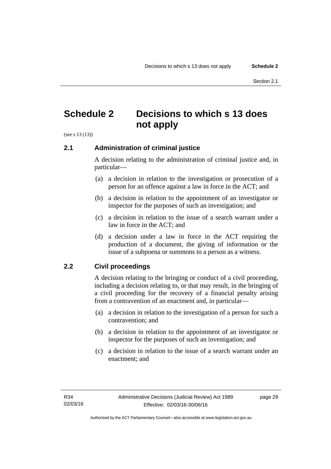## <span id="page-32-0"></span>**Schedule 2 Decisions to which s 13 does not apply**

(see s 13 (13))

## <span id="page-32-1"></span>**2.1 Administration of criminal justice**

A decision relating to the administration of criminal justice and, in particular—

- (a) a decision in relation to the investigation or prosecution of a person for an offence against a law in force in the ACT; and
- (b) a decision in relation to the appointment of an investigator or inspector for the purposes of such an investigation; and
- (c) a decision in relation to the issue of a search warrant under a law in force in the ACT; and
- (d) a decision under a law in force in the ACT requiring the production of a document, the giving of information or the issue of a subpoena or summons to a person as a witness.

## <span id="page-32-2"></span>**2.2 Civil proceedings**

A decision relating to the bringing or conduct of a civil proceeding, including a decision relating to, or that may result, in the bringing of a civil proceeding for the recovery of a financial penalty arising from a contravention of an enactment and, in particular—

- (a) a decision in relation to the investigation of a person for such a contravention; and
- (b) a decision in relation to the appointment of an investigator or inspector for the purposes of such an investigation; and
- (c) a decision in relation to the issue of a search warrant under an enactment; and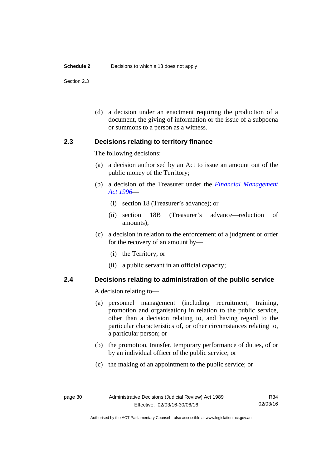#### **Schedule 2** Decisions to which s 13 does not apply

Section 2.3

 (d) a decision under an enactment requiring the production of a document, the giving of information or the issue of a subpoena or summons to a person as a witness.

### <span id="page-33-0"></span>**2.3 Decisions relating to territory finance**

The following decisions:

- (a) a decision authorised by an Act to issue an amount out of the public money of the Territory;
- (b) a decision of the Treasurer under the *[Financial Management](http://www.legislation.act.gov.au/a/1996-22)  [Act 1996](http://www.legislation.act.gov.au/a/1996-22)*—
	- (i) section 18 (Treasurer's advance); or
	- (ii) section 18B (Treasurer's advance—reduction of amounts);
- (c) a decision in relation to the enforcement of a judgment or order for the recovery of an amount by—
	- (i) the Territory; or
	- (ii) a public servant in an official capacity;

## <span id="page-33-1"></span>**2.4 Decisions relating to administration of the public service**

A decision relating to—

- (a) personnel management (including recruitment, training, promotion and organisation) in relation to the public service, other than a decision relating to, and having regard to the particular characteristics of, or other circumstances relating to, a particular person; or
- (b) the promotion, transfer, temporary performance of duties, of or by an individual officer of the public service; or
- (c) the making of an appointment to the public service; or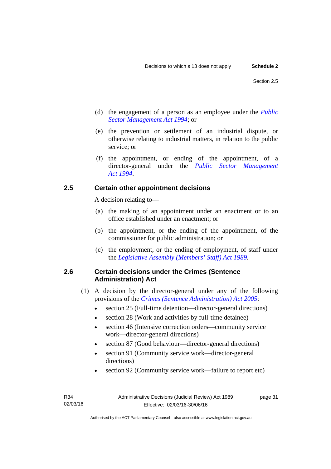- (d) the engagement of a person as an employee under the *[Public](http://www.legislation.act.gov.au/a/1994-37)  [Sector Management Act 1994](http://www.legislation.act.gov.au/a/1994-37)*; or
- (e) the prevention or settlement of an industrial dispute, or otherwise relating to industrial matters, in relation to the public service; or
- (f) the appointment, or ending of the appointment, of a director-general under the *[Public Sector Management](http://www.legislation.act.gov.au/a/1994-37)  [Act 1994](http://www.legislation.act.gov.au/a/1994-37)*.

## <span id="page-34-0"></span>**2.5 Certain other appointment decisions**

A decision relating to—

- (a) the making of an appointment under an enactment or to an office established under an enactment; or
- (b) the appointment, or the ending of the appointment, of the commissioner for public administration; or
- (c) the employment, or the ending of employment, of staff under the *[Legislative Assembly \(Members' Staff\) Act 1989](http://www.legislation.act.gov.au/a/1989-19)*.

## <span id="page-34-1"></span>**2.6 Certain decisions under the Crimes (Sentence Administration) Act**

- (1) A decision by the director-general under any of the following provisions of the *[Crimes \(Sentence Administration\) Act 2005](http://www.legislation.act.gov.au/a/2005-59)*:
	- section 25 (Full-time detention—director-general directions)
	- section 28 (Work and activities by full-time detainee)
	- section 46 (Intensive correction orders—community service work—director-general directions)
	- section 87 (Good behaviour—director-general directions)
	- section 91 (Community service work—director-general directions)
	- section 92 (Community service work—failure to report etc)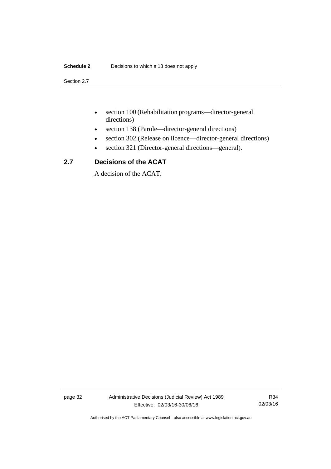#### **Schedule 2** Decisions to which s 13 does not apply

Section 2.7

- section 100 (Rehabilitation programs—director-general directions)
- section 138 (Parole—director-general directions)
- section 302 (Release on licence—director-general directions)
- section 321 (Director-general directions—general).

## <span id="page-35-0"></span>**2.7 Decisions of the ACAT**

A decision of the ACAT.

page 32 Administrative Decisions (Judicial Review) Act 1989 Effective: 02/03/16-30/06/16

R34 02/03/16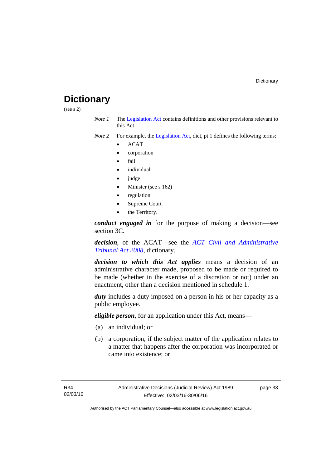## <span id="page-36-0"></span>**Dictionary**

(see s 2)

*Note 1* The [Legislation Act](http://www.legislation.act.gov.au/a/2001-14) contains definitions and other provisions relevant to this Act.

*Note 2* For example, the [Legislation Act,](http://www.legislation.act.gov.au/a/2001-14) dict, pt 1 defines the following terms:

- ACAT
- corporation
- fail
- individual
- judge
- Minister (see s 162)
- regulation
- Supreme Court
- the Territory.

*conduct engaged in* for the purpose of making a decision—see section 3C.

*decision*, of the ACAT—see the *[ACT Civil and Administrative](http://www.legislation.act.gov.au/a/2008-35)  [Tribunal Act 2008](http://www.legislation.act.gov.au/a/2008-35)*, dictionary.

*decision to which this Act applies* means a decision of an administrative character made, proposed to be made or required to be made (whether in the exercise of a discretion or not) under an enactment, other than a decision mentioned in schedule 1.

*duty* includes a duty imposed on a person in his or her capacity as a public employee.

*eligible person*, for an application under this Act, means—

- (a) an individual; or
- (b) a corporation, if the subject matter of the application relates to a matter that happens after the corporation was incorporated or came into existence; or

page 33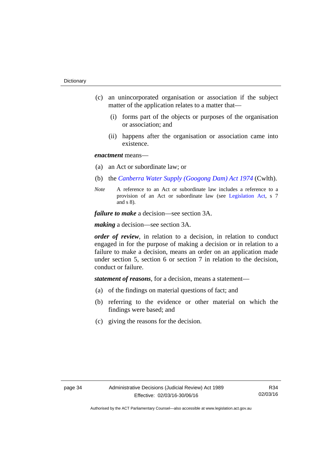- (c) an unincorporated organisation or association if the subject matter of the application relates to a matter that—
	- (i) forms part of the objects or purposes of the organisation or association; and
	- (ii) happens after the organisation or association came into existence.

### *enactment* means—

- (a) an Act or subordinate law; or
- (b) the *[Canberra Water Supply \(Googong Dam\) Act 1974](http://www.comlaw.gov.au/Details/C2008C00317)* (Cwlth).
- *Note* A reference to an Act or subordinate law includes a reference to a provision of an Act or subordinate law (see [Legislation Act](http://www.legislation.act.gov.au/a/2001-14), s 7 and s 8).

*failure to make* a decision—see section 3A.

*making* a decision—see section 3A.

*order of review*, in relation to a decision, in relation to conduct engaged in for the purpose of making a decision or in relation to a failure to make a decision, means an order on an application made under section 5, section 6 or section 7 in relation to the decision, conduct or failure.

*statement of reasons*, for a decision, means a statement—

- (a) of the findings on material questions of fact; and
- (b) referring to the evidence or other material on which the findings were based; and
- (c) giving the reasons for the decision.

R34 02/03/16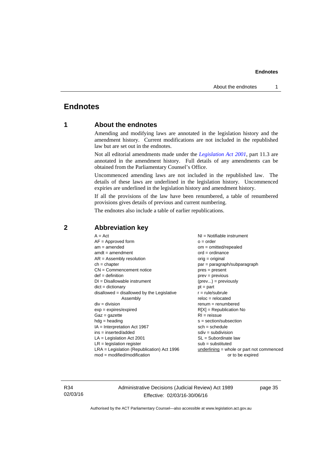## <span id="page-38-0"></span>**Endnotes**

## **1 About the endnotes**

Amending and modifying laws are annotated in the legislation history and the amendment history. Current modifications are not included in the republished law but are set out in the endnotes.

Not all editorial amendments made under the *[Legislation Act 2001](http://www.legislation.act.gov.au/a/2001-14)*, part 11.3 are annotated in the amendment history. Full details of any amendments can be obtained from the Parliamentary Counsel's Office.

Uncommenced amending laws are not included in the republished law. The details of these laws are underlined in the legislation history. Uncommenced expiries are underlined in the legislation history and amendment history.

If all the provisions of the law have been renumbered, a table of renumbered provisions gives details of previous and current numbering.

The endnotes also include a table of earlier republications.

| $A = Act$                                    | $NI = Notifiable$ instrument              |
|----------------------------------------------|-------------------------------------------|
| $AF =$ Approved form                         | $o = order$                               |
| $am = amended$                               | $om = omitted/repealed$                   |
| $amdt = amendment$                           | $ord = ordinance$                         |
| $AR = Assembly resolution$                   | $orig = original$                         |
| $ch = chapter$                               | par = paragraph/subparagraph              |
| $CN =$ Commencement notice                   | $pres = present$                          |
| $def = definition$                           | $prev = previous$                         |
| $DI = Disallowable instrument$               | $(\text{prev}) = \text{previously}$       |
| $dict = dictionary$                          | $pt = part$                               |
| $disallowed = disallowed by the Legislative$ | $r = rule/subrule$                        |
| Assembly                                     | $reloc = relocated$                       |
| $div = division$                             | $renum = renumbered$                      |
| $exp = expires/expired$                      | $R[X]$ = Republication No                 |
| $Gaz = gazette$                              | $RI = reissue$                            |
| $hdg =$ heading                              | s = section/subsection                    |
| $IA = Interpretation Act 1967$               | $sch = schedule$                          |
| ins = inserted/added                         | $sdiv = subdivision$                      |
| $LA =$ Legislation Act 2001                  | $SL = Subordinate$ law                    |
| $LR =$ legislation register                  | $sub =$ substituted                       |
| $LRA =$ Legislation (Republication) Act 1996 | underlining = whole or part not commenced |
| $mod = modified/modification$                | or to be expired                          |
|                                              |                                           |

### <span id="page-38-2"></span>**2 Abbreviation key**

R34 02/03/16 Administrative Decisions (Judicial Review) Act 1989 Effective: 02/03/16-30/06/16

page 35

<span id="page-38-1"></span>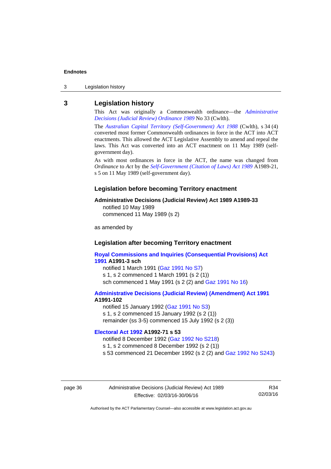3 Legislation history

#### <span id="page-39-0"></span>**3 Legislation history**

This Act was originally a Commonwealth ordinance—the *[Administrative](http://www.legislation.act.gov.au/a/alt_a1989-33co)  [Decisions \(Judicial Review\) Ordinance 1989](http://www.legislation.act.gov.au/a/alt_a1989-33co)* No 33 (Cwlth).

The *[Australian Capital Territory \(Self-Government\) Act 1988](http://www.comlaw.gov.au/Current/C2004A03699)* (Cwlth), s 34 (4) converted most former Commonwealth ordinances in force in the ACT into ACT enactments. This allowed the ACT Legislative Assembly to amend and repeal the laws. This Act was converted into an ACT enactment on 11 May 1989 (selfgovernment day).

As with most ordinances in force in the ACT, the name was changed from *Ordinance* to *Act* by the *[Self-Government \(Citation of Laws\) Act 1989](http://www.legislation.act.gov.au/a/alt_ord1989-21/default.asp)* A1989-21, s 5 on 11 May 1989 (self-government day).

#### **Legislation before becoming Territory enactment**

#### **Administrative Decisions (Judicial Review) Act 1989 A1989-33**

notified 10 May 1989 commenced 11 May 1989 (s 2)

as amended by

#### **Legislation after becoming Territory enactment**

**[Royal Commissions and Inquiries \(Consequential Provisions\) Act](http://www.legislation.act.gov.au/a/1991-3)  [1991](http://www.legislation.act.gov.au/a/1991-3) A1991-3 sch**  notified 1 March 1991 [\(Gaz 1991 No S7](http://www.legislation.act.gov.au/gaz/1991-S7/default.asp)) s 1, s 2 commenced 1 March 1991 (s 2 (1))

sch commenced 1 May 1991 (s 2 (2) and [Gaz 1991 No 16](http://www.legislation.act.gov.au/gaz/1991-16/default.asp))

#### **[Administrative Decisions \(Judicial Review\) \(Amendment\) Act 1991](http://www.legislation.act.gov.au/a/1991-102) A1991-102**

notified 15 January 1992 ([Gaz 1991 No S3\)](http://www.legislation.act.gov.au/gaz/1991-S3/default.asp) s 1, s 2 commenced 15 January 1992 (s 2 (1)) remainder (ss 3-5) commenced 15 July 1992 (s 2 (3))

#### **[Electoral Act 1992](http://www.legislation.act.gov.au/a/1992-71) A1992-71 s 53**

notified 8 December 1992 ([Gaz 1992 No S218\)](http://www.legislation.act.gov.au/gaz/1992-S218/default.asp) s 1, s 2 commenced 8 December 1992 (s 2 (1)) s 53 commenced 21 December 1992 (s 2 (2) and [Gaz 1992 No S243\)](http://www.legislation.act.gov.au/gaz/1992-S243/default.asp)

page 36 Administrative Decisions (Judicial Review) Act 1989 Effective: 02/03/16-30/06/16

R34 02/03/16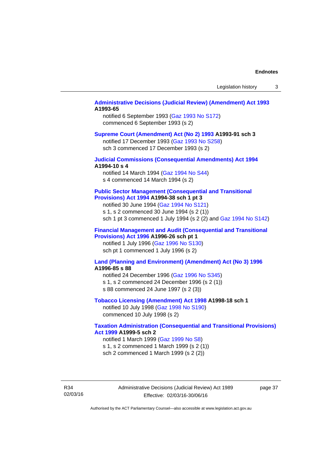#### **[Administrative Decisions \(Judicial Review\) \(Amendment\) Act 1993](http://www.legislation.act.gov.au/a/1993-65) A1993-65**

notified 6 September 1993 [\(Gaz 1993 No S172\)](http://www.legislation.act.gov.au/gaz/1993-S172/default.asp) commenced 6 September 1993 (s 2)

#### **[Supreme Court \(Amendment\) Act \(No 2\) 1993](http://www.legislation.act.gov.au/a/1993-91) A1993-91 sch 3**

notified 17 December 1993 [\(Gaz 1993 No S258](http://www.legislation.act.gov.au/gaz/1993-S258/default.asp)) sch 3 commenced 17 December 1993 (s 2)

#### **[Judicial Commissions \(Consequential Amendments\) Act 1994](http://www.legislation.act.gov.au/a/1994-10) A1994-10 s 4**

notified 14 March 1994 ([Gaz 1994 No S44](http://www.legislation.act.gov.au/gaz/1994-S44/default.asp)) s 4 commenced 14 March 1994 (s 2)

#### **[Public Sector Management \(Consequential and Transitional](http://www.legislation.act.gov.au/a/1994-38)  [Provisions\) Act 1994](http://www.legislation.act.gov.au/a/1994-38) A1994-38 sch 1 pt 3**

notified 30 June 1994 ([Gaz 1994 No S121\)](http://www.legislation.act.gov.au/gaz/1994-S121/default.asp)

s 1, s 2 commenced 30 June 1994 (s 2 (1))

sch 1 pt 3 commenced 1 July 1994 (s 2 (2) and [Gaz 1994 No S142](http://www.legislation.act.gov.au/gaz/1994-S142/default.asp))

#### **[Financial Management and Audit \(Consequential and Transitional](http://www.legislation.act.gov.au/a/1996-26)  [Provisions\) Act 1996](http://www.legislation.act.gov.au/a/1996-26) A1996-26 sch pt 1**

notified 1 July 1996 [\(Gaz 1996 No S130](http://www.legislation.act.gov.au/gaz/1996-S130/default.asp)) sch pt 1 commenced 1 July 1996 (s 2)

#### **[Land \(Planning and Environment\) \(Amendment\) Act \(No 3\) 1996](http://www.legislation.act.gov.au/a/1996-85) A1996-85 s 88**

notified 24 December 1996 [\(Gaz 1996 No S345](http://www.legislation.act.gov.au/gaz/1996-S345/default.asp)) s 1, s 2 commenced 24 December 1996 (s 2 (1)) s 88 commenced 24 June 1997 (s 2 (3))

#### **[Tobacco Licensing \(Amendment\) Act 1998](http://www.legislation.act.gov.au/a/1998-18) A1998-18 sch 1**

notified 10 July 1998 ([Gaz 1998 No S190\)](http://www.legislation.act.gov.au/gaz/1998-S190/default.asp) commenced 10 July 1998 (s 2)

#### **[Taxation Administration \(Consequential and Transitional Provisions\)](http://www.legislation.act.gov.au/a/1999-5)  [Act 1999](http://www.legislation.act.gov.au/a/1999-5) A1999-5 sch 2**

notified 1 March 1999 [\(Gaz 1999 No S8](http://www.legislation.act.gov.au/gaz/1999-S8/default.asp)) s 1, s 2 commenced 1 March 1999 (s 2 (1)) sch 2 commenced 1 March 1999 (s 2 (2))

R34 02/03/16 Administrative Decisions (Judicial Review) Act 1989 Effective: 02/03/16-30/06/16

page 37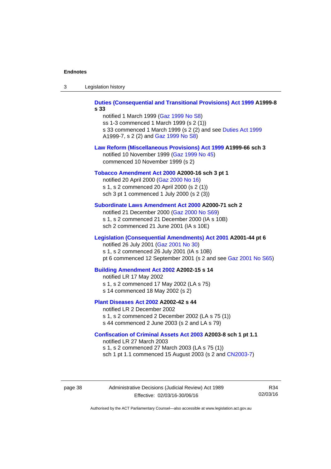| -3 | Legislation history |  |
|----|---------------------|--|
|----|---------------------|--|

**[Duties \(Consequential and Transitional Provisions\) Act 1999](http://www.legislation.act.gov.au/a/1999-8) A1999-8 s 33** 

notified 1 March 1999 [\(Gaz 1999 No S8](http://www.legislation.act.gov.au/gaz/1999-S8/default.asp)) ss 1-3 commenced 1 March 1999 (s 2 (1)) s 33 commenced 1 March 1999 (s 2 (2) and see [Duties Act 1999](http://www.legislation.act.gov.au/a/1999-7) A1999-7, s 2 (2) and [Gaz 1999 No S8\)](http://www.legislation.act.gov.au/gaz/1999-S8/default.asp)

#### **[Law Reform \(Miscellaneous Provisions\) Act 1999](http://www.legislation.act.gov.au/a/1999-66) A1999-66 sch 3**  notified 10 November 1999 [\(Gaz 1999 No 45](http://www.legislation.act.gov.au/gaz/1999-45/default.asp))

commenced 10 November 1999 (s 2)

#### **[Tobacco Amendment Act 2000](http://www.legislation.act.gov.au/a/2000-16) A2000-16 sch 3 pt 1**

notified 20 April 2000 [\(Gaz 2000 No 16\)](http://www.legislation.act.gov.au/gaz/2000-16/default.asp) s 1, s 2 commenced 20 April 2000 (s 2 (1)) sch 3 pt 1 commenced 1 July 2000 (s 2 (3))

#### **[Subordinate Laws Amendment Act 2000](http://www.legislation.act.gov.au/a/2000-71) A2000-71 sch 2**

notified 21 December 2000 [\(Gaz 2000 No S69\)](http://www.legislation.act.gov.au/gaz/2000-S69/default.asp) s 1, s 2 commenced 21 December 2000 (IA s 10B) sch 2 commenced 21 June 2001 (IA s 10E)

#### **[Legislation \(Consequential Amendments\) Act 2001](http://www.legislation.act.gov.au/a/2001-44) A2001-44 pt 6**

notified 26 July 2001 ([Gaz 2001 No 30\)](http://www.legislation.act.gov.au/gaz/2001-30/default.asp)

s 1, s 2 commenced 26 July 2001 (IA s 10B)

pt 6 commenced 12 September 2001 (s 2 and see [Gaz 2001 No S65\)](http://www.legislation.act.gov.au/gaz/2001-S65/default.asp)

#### **[Building Amendment Act 2002](http://www.legislation.act.gov.au/a/2002-15) A2002-15 s 14**

notified LR 17 May 2002

- s 1, s 2 commenced 17 May 2002 (LA s 75)
- s 14 commenced 18 May 2002 (s 2)

#### **[Plant Diseases Act 2002](http://www.legislation.act.gov.au/a/2002-42) A2002-42 s 44**

notified LR 2 December 2002 s 1, s 2 commenced 2 December 2002 (LA s 75 (1)) s 44 commenced 2 June 2003 (s 2 and LA s 79)

**[Confiscation of Criminal Assets Act 2003](http://www.legislation.act.gov.au/a/2003-8) A2003-8 sch 1 pt 1.1** 

notified LR 27 March 2003 s 1, s 2 commenced 27 March 2003 (LA s 75 (1)) sch 1 pt 1.1 commenced 15 August 2003 (s 2 and [CN2003-7](http://www.legislation.act.gov.au/cn/2003-7/default.asp))

page 38 Administrative Decisions (Judicial Review) Act 1989 Effective: 02/03/16-30/06/16

R34 02/03/16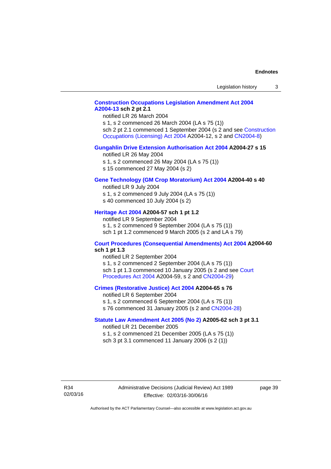### **[Construction Occupations Legislation Amendment Act 2004](http://www.legislation.act.gov.au/a/2004-13)  [A2004-13](http://www.legislation.act.gov.au/a/2004-13) sch 2 pt 2.1**

notified LR 26 March 2004

s 1, s 2 commenced 26 March 2004 (LA s 75 (1)) sch 2 pt 2.1 commenced 1 September 2004 (s 2 and see [Construction](http://www.legislation.act.gov.au/a/2004-12)  [Occupations \(Licensing\) Act 2004](http://www.legislation.act.gov.au/a/2004-12) A2004-12, s 2 and [CN2004-8\)](http://www.legislation.act.gov.au/cn/2004-8/default.asp)

#### **[Gungahlin Drive Extension Authorisation Act 2004](http://www.legislation.act.gov.au/a/2004-27) A2004-27 s 15**

notified LR 26 May 2004

- s 1, s 2 commenced 26 May 2004 (LA s 75 (1))
- s 15 commenced 27 May 2004 (s 2)

#### **[Gene Technology \(GM Crop Moratorium\) Act 2004](http://www.legislation.act.gov.au/a/2004-40) A2004-40 s 40**

notified LR 9 July 2004

- s 1, s 2 commenced 9 July 2004 (LA s 75 (1)) s 40 commenced 10 July 2004 (s 2)
- 

## **[Heritage Act 2004](http://www.legislation.act.gov.au/a/2004-57) A2004-57 sch 1 pt 1.2**

notified LR 9 September 2004 s 1, s 2 commenced 9 September 2004 (LA s 75 (1)) sch 1 pt 1.2 commenced 9 March 2005 (s 2 and LA s 79)

#### **[Court Procedures \(Consequential Amendments\) Act 2004](http://www.legislation.act.gov.au/a/2004-60) A2004-60 sch 1 pt 1.3**

notified LR 2 September 2004 s 1, s 2 commenced 2 September 2004 (LA s 75 (1)) sch 1 pt 1.3 commenced 10 January 2005 (s 2 and see [Court](http://www.legislation.act.gov.au/a/2004-59)  [Procedures Act 2004](http://www.legislation.act.gov.au/a/2004-59) A2004-59, s 2 and [CN2004-29\)](http://www.legislation.act.gov.au/cn/2004-29/default.asp)

#### **[Crimes \(Restorative Justice\) Act 2004](http://www.legislation.act.gov.au/a/2004-65) A2004-65 s 76**

notified LR 6 September 2004 s 1, s 2 commenced 6 September 2004 (LA s 75 (1)) s 76 commenced 31 January 2005 (s 2 and [CN2004-28](http://www.legislation.act.gov.au/cn/2004-28/default.asp))

#### **[Statute Law Amendment Act 2005 \(No 2\)](http://www.legislation.act.gov.au/a/2005-62) A2005-62 sch 3 pt 3.1**

notified LR 21 December 2005 s 1, s 2 commenced 21 December 2005 (LA s 75 (1)) sch 3 pt 3.1 commenced 11 January 2006 (s 2 (1))

R34 02/03/16 page 39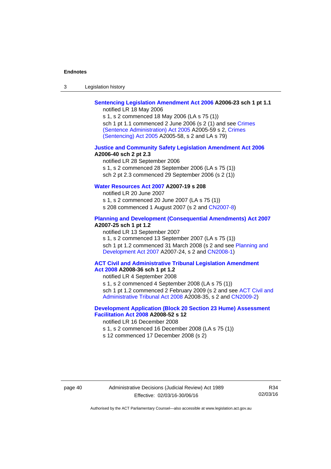| $\sqrt{2}$<br>- 3 | Legislation history |  |
|-------------------|---------------------|--|
|-------------------|---------------------|--|

## **[Sentencing Legislation Amendment Act 2006](http://www.legislation.act.gov.au/a/2006-23) A2006-23 sch 1 pt 1.1**

notified LR 18 May 2006

s 1, s 2 commenced 18 May 2006 (LA s 75 (1)) sch 1 pt 1.1 commenced 2 June 2006 (s 2 (1) and see [Crimes](http://www.legislation.act.gov.au/a/2005-59)  [\(Sentence Administration\) Act 2005](http://www.legislation.act.gov.au/a/2005-59) A2005-59 s 2, [Crimes](http://www.legislation.act.gov.au/a/2005-58)  [\(Sentencing\) Act 2005](http://www.legislation.act.gov.au/a/2005-58) A2005-58, s 2 and LA s 79)

#### **[Justice and Community Safety Legislation Amendment Act 2006](http://www.legislation.act.gov.au/a/2006-40) A2006-40 sch 2 pt 2.3**

notified LR 28 September 2006 s 1, s 2 commenced 28 September 2006 (LA s 75 (1)) sch 2 pt 2.3 commenced 29 September 2006 (s 2 (1))

### **[Water Resources Act 2007](http://www.legislation.act.gov.au/a/2007-19) A2007-19 s 208**

notified LR 20 June 2007 s 1, s 2 commenced 20 June 2007 (LA s 75 (1)) s 208 commenced 1 August 2007 (s 2 and [CN2007-8](http://www.legislation.act.gov.au/cn/2007-8/default.asp))

#### **[Planning and Development \(Consequential Amendments\) Act 2007](http://www.legislation.act.gov.au/a/2007-25) A2007-25 sch 1 pt 1.2**

notified LR 13 September 2007

s 1, s 2 commenced 13 September 2007 (LA s 75 (1)) sch 1 pt 1.2 commenced 31 March 2008 (s 2 and see Planning and [Development Act 2007](http://www.legislation.act.gov.au/a/2007-24) A2007-24, s 2 and [CN2008-1](http://www.legislation.act.gov.au/cn/2008-1/default.asp))

#### **[ACT Civil and Administrative Tribunal Legislation Amendment](http://www.legislation.act.gov.au/a/2008-36)  [Act 2008](http://www.legislation.act.gov.au/a/2008-36) A2008-36 sch 1 pt 1.2**

notified LR 4 September 2008

s 1, s 2 commenced 4 September 2008 (LA s 75 (1))

sch 1 pt 1.2 commenced 2 February 2009 (s 2 and see [ACT Civil and](http://www.legislation.act.gov.au/a/2008-35)  [Administrative Tribunal Act 2008](http://www.legislation.act.gov.au/a/2008-35) A2008-35, s 2 and [CN2009-2\)](http://www.legislation.act.gov.au/cn/2009-2/default.asp)

### **[Development Application \(Block 20 Section 23 Hume\) Assessment](http://www.legislation.act.gov.au/a/2008-52)  [Facilitation Act 2008](http://www.legislation.act.gov.au/a/2008-52) A2008-52 s 12**

notified LR 16 December 2008

- s 1, s 2 commenced 16 December 2008 (LA s 75 (1))
- s 12 commenced 17 December 2008 (s 2)

R34 02/03/16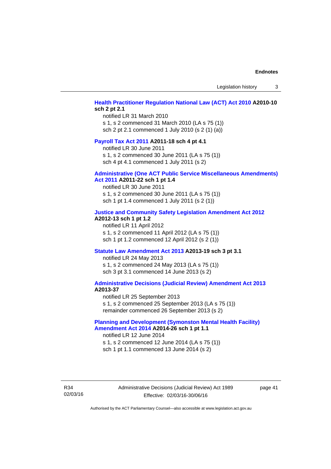Legislation history 3

#### **[Health Practitioner Regulation National Law \(ACT\) Act 2010](http://www.legislation.act.gov.au/a/2010-10) A2010-10 sch 2 pt 2.1**

notified LR 31 March 2010 s 1, s 2 commenced 31 March 2010 (LA s 75 (1)) sch 2 pt 2.1 commenced 1 July 2010 (s 2 (1) (a))

#### **[Payroll Tax Act 2011](http://www.legislation.act.gov.au/a/2011-18) A2011-18 sch 4 pt 4.1**

notified LR 30 June 2011 s 1, s 2 commenced 30 June 2011 (LA s 75 (1)) sch 4 pt 4.1 commenced 1 July 2011 (s 2)

#### **[Administrative \(One ACT Public Service Miscellaneous Amendments\)](http://www.legislation.act.gov.au/a/2011-22)**

#### **[Act 2011](http://www.legislation.act.gov.au/a/2011-22) A2011-22 sch 1 pt 1.4**

notified LR 30 June 2011 s 1, s 2 commenced 30 June 2011 (LA s 75 (1)) sch 1 pt 1.4 commenced 1 July 2011 (s 2 (1))

#### **[Justice and Community Safety Legislation Amendment Act 2012](http://www.legislation.act.gov.au/a/2012-13)**

#### **A2012-13 sch 1 pt 1.2**

notified LR 11 April 2012 s 1, s 2 commenced 11 April 2012 (LA s 75 (1)) sch 1 pt 1.2 commenced 12 April 2012 (s 2 (1))

#### **[Statute Law Amendment Act 2013](http://www.legislation.act.gov.au/a/2013-19) A2013-19 sch 3 pt 3.1**

notified LR 24 May 2013 s 1, s 2 commenced 24 May 2013 (LA s 75 (1)) sch 3 pt 3.1 commenced 14 June 2013 (s 2)

#### **[Administrative Decisions \(Judicial Review\) Amendment Act 2013](http://www.legislation.act.gov.au/a/2013-37) A2013-37**

notified LR 25 September 2013 s 1, s 2 commenced 25 September 2013 (LA s 75 (1)) remainder commenced 26 September 2013 (s 2)

#### **[Planning and Development \(Symonston Mental Health Facility\)](http://www.legislation.act.gov.au/a/2014-26)  [Amendment Act 2014](http://www.legislation.act.gov.au/a/2014-26) A2014-26 sch 1 pt 1.1**

notified LR 12 June 2014 s 1, s 2 commenced 12 June 2014 (LA s 75 (1)) sch 1 pt 1.1 commenced 13 June 2014 (s 2)

R34 02/03/16 Administrative Decisions (Judicial Review) Act 1989 Effective: 02/03/16-30/06/16

page 41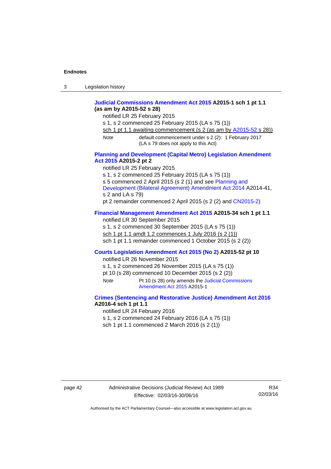| 3 | Legislation history |  |
|---|---------------------|--|
|---|---------------------|--|

#### **[Judicial Commissions Amendment Act 2015](http://www.legislation.act.gov.au/a/2015-1) A2015-1 sch 1 pt 1.1 (as am by A2015-52 s 28)**

notified LR 25 February 2015

s 1, s 2 commenced 25 February 2015 (LA s 75 (1))

sch 1 pt 1.1 awaiting commencement (s 2 (as am by [A2015-52](http://www.legislation.act.gov.au/a/2015-52) s 28))

*Note* default commencement under s 2 (2): 1 February 2017 (LA s 79 does not apply to this Act)

#### **[Planning and Development \(Capital Metro\) Legislation Amendment](http://www.legislation.act.gov.au/a/2015-2)  [Act 2015](http://www.legislation.act.gov.au/a/2015-2) A2015-2 pt 2**

notified LR 25 February 2015

s 1, s 2 commenced 25 February 2015 (LA s 75 (1))

s 5 commenced 2 April 2015 (s 2 (1) and see [Planning and](http://www.legislation.act.gov.au/a/2014-41/default.asp) 

[Development \(Bilateral Agreement\) Amendment Act 2014](http://www.legislation.act.gov.au/a/2014-41/default.asp) A2014-41, s 2 and LA s 79)

pt 2 remainder commenced 2 April 2015 (s 2 (2) and [CN2015-2](http://www.legislation.act.gov.au/cn/2015-2/default.asp))

### **[Financial Management Amendment Act 2015](http://www.legislation.act.gov.au/a/2015-34/default.asp) A2015-34 sch 1 pt 1.1**

notified LR 30 September 2015 s 1, s 2 commenced 30 September 2015 (LA s 75 (1)) sch 1 pt 1.1 amdt 1.2 commences 1 July 2016 (s 2 (1)) sch 1 pt 1.1 remainder commenced 1 October 2015 (s 2 (2))

#### **[Courts Legislation Amendment Act 2015 \(No 2\)](http://www.legislation.act.gov.au/a/2015-52/default.asp) A2015-52 pt 10**

notified LR 26 November 2015

s 1, s 2 commenced 26 November 2015 (LA s 75 (1))

pt 10 (s 28) commenced 10 December 2015 (s 2 (2))

*Note* Pt 10 (s 28) only amends the [Judicial Commissions](http://www.legislation.act.gov.au/a/2015-1)  [Amendment Act 2015](http://www.legislation.act.gov.au/a/2015-1) A2015-1

#### **[Crimes \(Sentencing and Restorative Justice\) Amendment Act 2016](http://www.legislation.act.gov.au/a/2016-4/default.asp) A2016-4 sch 1 pt 1.1**

notified LR 24 February 2016

s 1, s 2 commenced 24 February 2016 (LA s 75 (1))

sch 1 pt 1.1 commenced 2 March 2016 (s 2 (1))

R34 02/03/16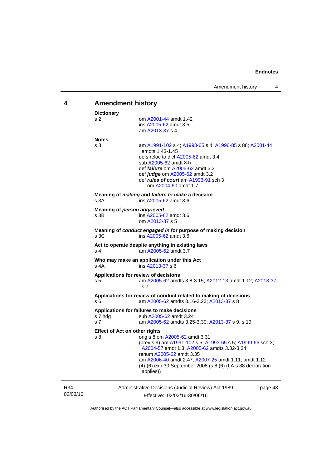<span id="page-46-0"></span>

| 4               | <b>Amendment history</b>                                               |                                                                                                                                                                                                                                                                                                             |  |  |
|-----------------|------------------------------------------------------------------------|-------------------------------------------------------------------------------------------------------------------------------------------------------------------------------------------------------------------------------------------------------------------------------------------------------------|--|--|
|                 | <b>Dictionary</b><br>s 2                                               | om A2001-44 amdt 1.42<br>ins A2005-62 amdt 3.5<br>am A2013-37 s 4                                                                                                                                                                                                                                           |  |  |
|                 | <b>Notes</b><br>s 3                                                    | am A1991-102 s 4; A1993-65 s 4; A1996-85 s 88; A2001-44<br>amdts 1.43-1.45<br>defs reloc to dict A2005-62 amdt 3.4<br>sub A2005-62 amdt 3.5<br>def <i>failure</i> om A2005-62 amdt 3.2<br>def judge om A2005-62 amdt 3.2<br>def rules of court am A1993-91 sch 3<br>om A2004-60 amdt 1.7                    |  |  |
|                 | s 3A                                                                   | Meaning of <i>making</i> and <i>failure to make</i> a decision<br>ins A2005-62 amdt 3.6                                                                                                                                                                                                                     |  |  |
|                 | Meaning of person aggrieved<br>s 3B                                    | ins A2005-62 amdt 3.6<br>om A2013-37 s 5                                                                                                                                                                                                                                                                    |  |  |
|                 | s 3C                                                                   | Meaning of conduct engaged in for purpose of making decision<br>ins A2005-62 amdt 3.6                                                                                                                                                                                                                       |  |  |
|                 | s 4                                                                    | Act to operate despite anything in existing laws<br>am A2005-62 amdt 3.7                                                                                                                                                                                                                                    |  |  |
|                 | Who may make an application under this Act<br>s 4A<br>ins A2013-37 s 6 |                                                                                                                                                                                                                                                                                                             |  |  |
|                 | Applications for review of decisions<br>s 5                            | am A2005-62 amdts 3.8-3.15; A2012-13 amdt 1.12; A2013-37<br>s <sub>7</sub>                                                                                                                                                                                                                                  |  |  |
|                 | s 6                                                                    | Applications for review of conduct related to making of decisions<br>am A2005-62 amdts 3.16-3.23; A2013-37 s 8                                                                                                                                                                                              |  |  |
|                 | s 7 hdg<br>s 7                                                         | Applications for failures to make decisions<br>sub A2005-62 amdt 3.24<br>am A2005-62 amdts 3.25-3.30; A2013-37 s 9, s 10                                                                                                                                                                                    |  |  |
|                 | <b>Effect of Act on other rights</b><br>s 8                            | orig s 8 om A2005-62 amdt 3.31<br>(prev s 9) am A1991-102 s 5; A1993-65 s 5; A1999-66 sch 3;<br>A2004-57 amdt 1.3; A2005-62 amdts 3.32-3.34<br>renum A2005-62 amdt 3.35<br>am A2006-40 amdt 2.47; A2007-25 amdt 1.11, amdt 1.12<br>(4)-(6) exp 30 September 2008 (s 8 (6) (LA s 88 declaration<br>applies)) |  |  |
| R34<br>02/03/16 |                                                                        | Administrative Decisions (Judicial Review) Act 1989<br>page 43<br>Effective: 02/03/16-30/06/16                                                                                                                                                                                                              |  |  |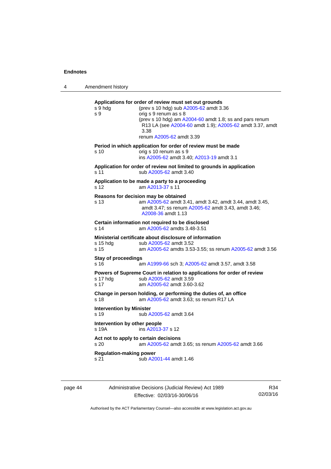4 Amendment history **Applications for order of review must set out grounds**  s 9 hdg (prev s 10 hdg) sub [A2005-62](http://www.legislation.act.gov.au/a/2005-62) amdt 3.36 s 9 orig s 9 renum as s 8 (prev s 10 hdg) am [A2004-60](http://www.legislation.act.gov.au/a/2004-60) amdt 1.8; ss and pars renum R13 LA (see [A2004-60](http://www.legislation.act.gov.au/a/2004-60) amdt 1.9); [A2005-62](http://www.legislation.act.gov.au/a/2005-62) amdt 3.37, amdt 3.38 renum [A2005-62](http://www.legislation.act.gov.au/a/2005-62) amdt 3.39 **Period in which application for order of review must be made**  s 10 orig s 10 renum as s 9 ins [A2005-62](http://www.legislation.act.gov.au/a/2005-62) amdt 3.40; [A2013-19](http://www.legislation.act.gov.au/a/2013-19) amdt 3.1 **Application for order of review not limited to grounds in application**  s 11 sub [A2005-62](http://www.legislation.act.gov.au/a/2005-62) amdt 3.40 **Application to be made a party to a proceeding**  s 12 am [A2013-37](http://www.legislation.act.gov.au/a/2013-37) s 11 **Reasons for decision may be obtained**  s 13 am [A2005-62](http://www.legislation.act.gov.au/a/2005-62) amdt 3.41, amdt 3.42, amdt 3.44, amdt 3.45, amdt 3.47; ss renum [A2005-62](http://www.legislation.act.gov.au/a/2005-62) amdt 3.43, amdt 3.46; [A2008-36](http://www.legislation.act.gov.au/a/2008-36) amdt 1.13 **Certain information not required to be disclosed**<br>s 14 am A2005-62 amdts 3.48-3.51 am [A2005-62](http://www.legislation.act.gov.au/a/2005-62) amdts 3.48-3.51 **Ministerial certificate about disclosure of information**  s 15 hdg sub [A2005-62](http://www.legislation.act.gov.au/a/2005-62) amdt 3.52 s 15 am [A2005-62](http://www.legislation.act.gov.au/a/2005-62) amdts 3.53-3.55; ss renum [A2005-62](http://www.legislation.act.gov.au/a/2005-62) amdt 3.56 **Stay of proceedings**  s 16 am [A1999-66](http://www.legislation.act.gov.au/a/1999-66) sch 3; [A2005-62](http://www.legislation.act.gov.au/a/2005-62) amdt 3.57, amdt 3.58 **Powers of Supreme Court in relation to applications for order of review**  s 17 hdg sub [A2005-62](http://www.legislation.act.gov.au/a/2005-62) amdt 3.59 s 17 am [A2005-62](http://www.legislation.act.gov.au/a/2005-62) amdt 3.60-3.62 **Change in person holding, or performing the duties of, an office**  s 18 **am [A2005-62](http://www.legislation.act.gov.au/a/2005-62)** amdt 3.63; ss renum R17 LA **Intervention by Minister**  s 19 sub [A2005-62](http://www.legislation.act.gov.au/a/2005-62) amdt 3.64

> **Intervention by other people**  s 19A ins [A2013-37](http://www.legislation.act.gov.au/a/2013-37) s 12 **Act not to apply to certain decisions**  s 20 am [A2005-62](http://www.legislation.act.gov.au/a/2005-62) amdt 3.65; ss renum [A2005-62](http://www.legislation.act.gov.au/a/2005-62) amdt 3.66 **Regulation-making power**

s 21 sub [A2001-44](http://www.legislation.act.gov.au/a/2001-44) amdt 1.46

page 44 Administrative Decisions (Judicial Review) Act 1989 Effective: 02/03/16-30/06/16

R34 02/03/16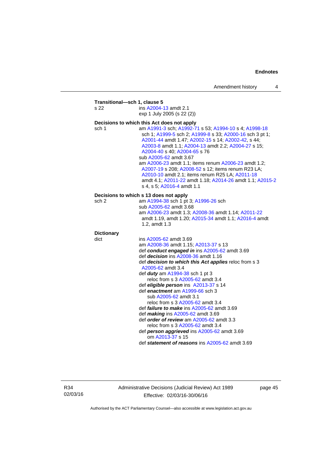| s 22              | ins A2004-13 amdt 2.1                                                                                                                                                                                                                                                                                                                                                                                                                                                                                                                               |
|-------------------|-----------------------------------------------------------------------------------------------------------------------------------------------------------------------------------------------------------------------------------------------------------------------------------------------------------------------------------------------------------------------------------------------------------------------------------------------------------------------------------------------------------------------------------------------------|
|                   | exp 1 July 2005 (s 22 (2))                                                                                                                                                                                                                                                                                                                                                                                                                                                                                                                          |
|                   | Decisions to which this Act does not apply                                                                                                                                                                                                                                                                                                                                                                                                                                                                                                          |
| sch 1             | am A1991-3 sch; A1992-71 s 53; A1994-10 s 4; A1998-18<br>sch 1; A1999-5 sch 2; A1999-8 s 33; A2000-16 sch 3 pt 1;<br>A2001-44 amdt 1.47; A2002-15 s 14; A2002-42, s 44;<br>A2003-8 amdt 1.1; A2004-13 amdt 2.2; A2004-27 s 15;<br>A2004-40 s 40; A2004-65 s 76<br>sub A2005-62 amdt 3.67<br>am A2006-23 amdt 1.1; items renum A2006-23 amdt 1.2;<br>A2007-19 s 208; A2008-52 s 12; items renum R23 LA;<br>A2010-10 amdt 2.1; items renum R25 LA; A2011-18<br>amdt 4.1; A2011-22 amdt 1.18; A2014-26 amdt 1.1; A2015-2<br>s 4, s 5; A2016-4 amdt 1.1 |
|                   | Decisions to which s 13 does not apply                                                                                                                                                                                                                                                                                                                                                                                                                                                                                                              |
| sch 2             | am A1994-38 sch 1 pt 3; A1996-26 sch                                                                                                                                                                                                                                                                                                                                                                                                                                                                                                                |
|                   | sub A2005-62 amdt 3.68                                                                                                                                                                                                                                                                                                                                                                                                                                                                                                                              |
|                   | am A2006-23 amdt 1.3; A2008-36 amdt 1.14; A2011-22<br>amdt 1.19, amdt 1.20; A2015-34 amdt 1.1; A2016-4 amdt<br>1.2, amdt 1.3                                                                                                                                                                                                                                                                                                                                                                                                                        |
| <b>Dictionary</b> |                                                                                                                                                                                                                                                                                                                                                                                                                                                                                                                                                     |
| dict              | ins A2005-62 amdt 3.69                                                                                                                                                                                                                                                                                                                                                                                                                                                                                                                              |
|                   | am A2008-36 amdt 1.15; A2013-37 s 13                                                                                                                                                                                                                                                                                                                                                                                                                                                                                                                |
|                   | def conduct engaged in ins A2005-62 amdt 3.69                                                                                                                                                                                                                                                                                                                                                                                                                                                                                                       |
|                   | def decision ins A2008-36 amdt 1.16                                                                                                                                                                                                                                                                                                                                                                                                                                                                                                                 |
|                   | def decision to which this Act applies reloc from s 3<br>A2005-62 amdt 3.4                                                                                                                                                                                                                                                                                                                                                                                                                                                                          |
|                   | def <i>duty</i> am A1994-38 sch 1 pt 3                                                                                                                                                                                                                                                                                                                                                                                                                                                                                                              |
|                   | reloc from s 3 A2005-62 amdt 3.4                                                                                                                                                                                                                                                                                                                                                                                                                                                                                                                    |
|                   | def eligible person ins A2013-37 s 14                                                                                                                                                                                                                                                                                                                                                                                                                                                                                                               |
|                   | def enactment am A1999-66 sch 3                                                                                                                                                                                                                                                                                                                                                                                                                                                                                                                     |
|                   | sub A2005-62 amdt 3.1                                                                                                                                                                                                                                                                                                                                                                                                                                                                                                                               |
|                   | reloc from s 3 A2005-62 amdt 3.4                                                                                                                                                                                                                                                                                                                                                                                                                                                                                                                    |
|                   | def <i>failure to make</i> ins A2005-62 amdt 3.69                                                                                                                                                                                                                                                                                                                                                                                                                                                                                                   |
|                   | def making ins A2005-62 amdt 3.69                                                                                                                                                                                                                                                                                                                                                                                                                                                                                                                   |
|                   | def order of review am A2005-62 amdt 3.3                                                                                                                                                                                                                                                                                                                                                                                                                                                                                                            |
|                   | reloc from s 3 A2005-62 amdt 3.4                                                                                                                                                                                                                                                                                                                                                                                                                                                                                                                    |
|                   | def person aggrieved ins A2005-62 amdt 3.69                                                                                                                                                                                                                                                                                                                                                                                                                                                                                                         |
|                   | om A2013-37 s 15<br>def statement of reasons ins A2005-62 amdt 3.69                                                                                                                                                                                                                                                                                                                                                                                                                                                                                 |
|                   |                                                                                                                                                                                                                                                                                                                                                                                                                                                                                                                                                     |

R34 02/03/16 Administrative Decisions (Judicial Review) Act 1989 Effective: 02/03/16-30/06/16

page 45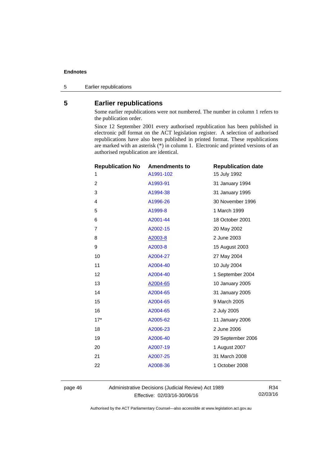5 Earlier republications

## <span id="page-49-0"></span>**5 Earlier republications**

Some earlier republications were not numbered. The number in column 1 refers to the publication order.

Since 12 September 2001 every authorised republication has been published in electronic pdf format on the ACT legislation register. A selection of authorised republications have also been published in printed format. These republications are marked with an asterisk (\*) in column 1. Electronic and printed versions of an authorised republication are identical.

| <b>Republication No</b> | <b>Amendments to</b> | <b>Republication date</b> |
|-------------------------|----------------------|---------------------------|
| 1                       | A1991-102            | 15 July 1992              |
| $\overline{2}$          | A1993-91             | 31 January 1994           |
| 3                       | A1994-38             | 31 January 1995           |
| 4                       | A1996-26             | 30 November 1996          |
| 5                       | A1999-8              | 1 March 1999              |
| 6                       | A2001-44             | 18 October 2001           |
| 7                       | A2002-15             | 20 May 2002               |
| 8                       | A2003-8              | 2 June 2003               |
| 9                       | A2003-8              | 15 August 2003            |
| 10                      | A2004-27             | 27 May 2004               |
| 11                      | A2004-40             | 10 July 2004              |
| 12                      | A2004-40             | 1 September 2004          |
| 13                      | A2004-65             | 10 January 2005           |
| 14                      | A2004-65             | 31 January 2005           |
| 15                      | A2004-65             | 9 March 2005              |
| 16                      | A2004-65             | 2 July 2005               |
| $17*$                   | A2005-62             | 11 January 2006           |
| 18                      | A2006-23             | 2 June 2006               |
| 19                      | A2006-40             | 29 September 2006         |
| 20                      | A2007-19             | 1 August 2007             |
| 21                      | A2007-25             | 31 March 2008             |
| 22                      | A2008-36             | 1 October 2008            |
|                         |                      |                           |

page 46 Administrative Decisions (Judicial Review) Act 1989 Effective: 02/03/16-30/06/16

R34 02/03/16